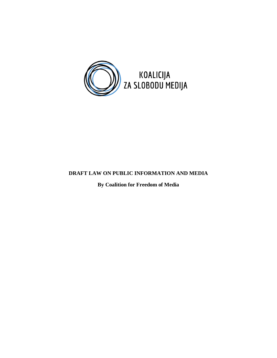

# **DRAFT LAW ON PUBLIC INFORMATION AND MEDIA**

**By Coalition for Freedom of Media**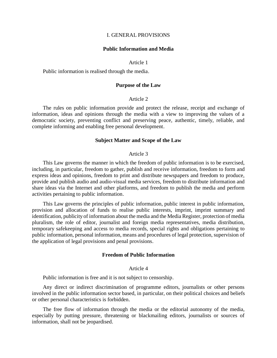#### I. GENERAL PROVISIONS

#### **Public Information and Media**

#### Article 1

Public information is realised through the media.

#### **Purpose of the Law**

#### Article 2

The rules on public information provide and protect the release, receipt and exchange of information, ideas and opinions through the media with a view to improving the values of a democratic society, preventing conflict and preserving peace, authentic, timely, reliable, and complete informing and enabling free personal development.

#### **Subject Matter and Scope of the Law**

#### Article 3

This Law governs the manner in which the freedom of public information is to be exercised, including, in particular, freedom to gather, publish and receive information, freedom to form and express ideas and opinions, freedom to print and distribute newspapers and freedom to produce, provide and publish audio and audio-visual media services, freedom to distribute information and share ideas via the Internet and other platforms, and freedom to publish the media and perform activities pertaining to public information.

This Law governs the principles of public information, public interest in public information, provision and allocation of funds to realise public interests, imprint, imprint summary and identification, publicity of information about the media and the Media Register, protection of media pluralism, the role of editor, journalist and foreign media representatives, media distribution, temporary safekeeping and access to media records, special rights and obligations pertaining to public information, personal information, means and procedures of legal protection, supervision of the application of legal provisions and penal provisions.

#### **Freedom of Public Information**

#### Article 4

Public information is free and it is not subject to censorship.

Any direct or indirect discrimination of programme editors, journalists or other persons involved in the public information sector based, in particular, on their political choices and beliefs or other personal characteristics is forbidden.

The free flow of information through the media or the editorial autonomy of the media, especially by putting pressure, threatening or blackmailing editors, journalists or sources of information, shall not be jeopardised.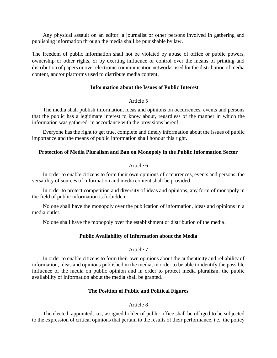Any physical assault on an editor, a journalist or other persons involved in gathering and publishing information through the media shall be punishable by law.

The freedom of public information shall not be violated by abuse of office or public powers, ownership or other rights, or by exerting influence or control over the means of printing and distribution of papers or over electronic communication networks used for the distribution of media content, and/or platforms used to distribute media content.

## **Information about the Issues of Public Interest**

## Article 5

The media shall publish information, ideas and opinions on occurrences, events and persons that the public has a legitimate interest to know about, regardless of the manner in which the information was gathered, in accordance with the provisions hereof.

Everyone has the right to get true, complete and timely information about the issues of public importance and the means of public information shall honour this right.

### **Protection of Media Pluralism and Ban on Monopoly in the Public Information Sector**

## Article 6

In order to enable citizens to form their own opinions of occurrences, events and persons, the versatility of sources of information and media content shall be provided.

In order to protect competition and diversity of ideas and opinions, any form of monopoly in the field of public information is forbidden.

No one shall have the monopoly over the publication of information, ideas and opinions in a media outlet.

No one shall have the monopoly over the establishment or distribution of the media.

# **Public Availability of Information about the Media**

# Article 7

In order to enable citizens to form their own opinions about the authenticity and reliability of information, ideas and opinions published in the media, in order to be able to identify the possible influence of the media on public opinion and in order to protect media pluralism, the public availability of information about the media shall be granted.

# **The Position of Public and Political Figures**

# Article 8

The elected, appointed, i.e., assigned holder of public office shall be obliged to be subjected to the expression of critical opinions that pertain to the results of their performance, i.e., the policy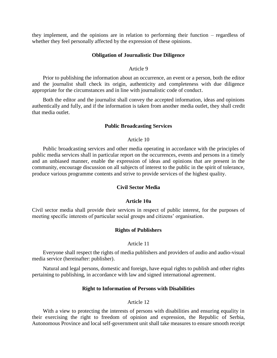they implement, and the opinions are in relation to performing their function – regardless of whether they feel personally affected by the expression of these opinions.

#### **Obligation of Journalistic Due Diligence**

## Article 9

Prior to publishing the information about an occurrence, an event or a person, both the editor and the journalist shall check its origin, authenticity and completeness with due diligence appropriate for the circumstances and in line with journalistic code of conduct.

Both the editor and the journalist shall convey the accepted information, ideas and opinions authentically and fully, and if the information is taken from another media outlet, they shall credit that media outlet.

#### **Public Broadcasting Services**

#### Article 10

Public broadcasting services and other media operating in accordance with the principles of public media services shall in particular report on the occurrences, events and persons in a timely and an unbiased manner, enable the expression of ideas and opinions that are present in the community, encourage discussion on all subjects of interest to the public in the spirit of tolerance, produce various programme contents and strive to provide services of the highest quality.

### **Civil Sector Media**

## **Article 10а**

Civil sector media shall provide their services in respect of public interest, for the purposes of meeting specific interests of particular social groups and citizens' organisation.

#### **Rights of Publishers**

#### Article 11

Everyone shall respect the rights of media publishers and providers of audio and audio-visual media service (hereinafter: publisher).

Natural and legal persons, domestic and foreign, have equal rights to publish and other rights pertaining to publishing, in accordance with law and signed international agreement.

#### **Right to Information of Persons with Disabilities**

#### Article 12

With a view to protecting the interests of persons with disabilities and ensuring equality in their exercising the right to freedom of opinion and expression, the Republic of Serbia, Autonomous Province and local self-government unit shall take measures to ensure smooth receipt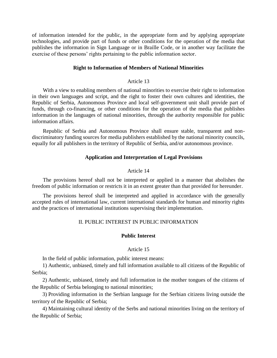of information intended for the public, in the appropriate form and by applying appropriate technologies, and provide part of funds or other conditions for the operation of the media that publishes the information in Sign Language or in Braille Code, or in another way facilitate the exercise of these persons' rights pertaining to the public information sector.

### **Right to Information of Members of National Minorities**

#### Article 13

With a view to enabling members of national minorities to exercise their right to information in their own languages and script, and the right to foster their own cultures and identities, the Republic of Serbia, Autonomous Province and local self-government unit shall provide part of funds, through co-financing, or other conditions for the operation of the media that publishes information in the languages of national minorities, through the authority responsible for public information affairs.

Republic of Serbia and Autonomous Province shall ensure stable, transparent and nondiscriminatory funding sources for media publishers established by the national minority councils, equally for all publishers in the territory of Republic of Serbia, and/or autonomous province.

### **Application and Interpretation of Legal Provisions**

### Article 14

The provisions hereof shall not be interpreted or applied in a manner that abolishes the freedom of public information or restricts it in an extent greater than that provided for hereunder.

The provisions hereof shall be interpreted and applied in accordance with the generally accepted rules of international law, current international standards for human and minority rights and the practices of international institutions supervising their implementation.

## II. PUBLIC INTEREST IN PUBLIC INFORMATION

### **Public Interest**

#### Article 15

In the field of public information, public interest means:

1) Authentic, unbiased, timely and full information available to all citizens of the Republic of Serbia;

2) Authentic, unbiased, timely and full information in the mother tongues of the citizens of the Republic of Serbia belonging to national minorities;

3) Providing information in the Serbian language for the Serbian citizens living outside the territory of the Republic of Serbia;

4) Maintaining cultural identity of the Serbs and national minorities living on the territory of the Republic of Serbia;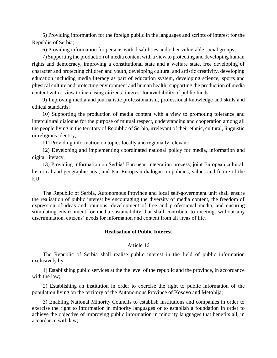5) Providing information for the foreign public in the languages and scripts of interest for the Republic of Serbia;

6) Providing information for persons with disabilities and other vulnerable social groups;

7) Supporting the production of media content with a view to protecting and developing human rights and democracy, improving a constitutional state and a welfare state, free developing of character and protecting children and youth, developing cultural and artistic creativity, developing education including media literacy as part of education system, developing science, sports and physical culture and protecting environment and human health; supporting the production of media content with a view to increasing citizens' interest for availability of public funds.

9) Improving media and journalistic professionalism, professional knowledge and skills and ethical standards;

10) Supporting the production of media content with a view to promoting tolerance and intercultural dialogue for the purpose of mutual respect, understanding and cooperation among all the people living in the territory of Republic of Serbia, irrelevant of their ethnic, cultural, linguistic or religious identity;

11) Providing information on topics locally and regionally relevant;

12) Developing and implementing coordinated national policy for media, information and digital literacy.

13) Providing information on Serbia' European integration process, joint European cultural, historical and geographic area, and Pan European dialogue on policies, values and future of the EU.

The Republic of Serbia, Autonomous Province and local self-government unit shall ensure the realisation of public interest by encouraging the diversity of media content, the freedom of expression of ideas and opinions, development of free and professional media, and ensuring stimulating environment for media sustainability that shall contribute to meeting, without any discrimination, citizens' needs for information and content from all areas of life.

# **Realisation of Public Interest**

### Article 16

The Republic of Serbia shall realise public interest in the field of public information exclusively by:

1) Establishing public services at the the level of the republic and the province, in accordance with the law;

2) Establishing an institution in order to exercise the right to public information of the population living on the territory of the Autonomous Province of Kosovo and Metohija;

3) Enabling National Minority Councils to establish institutions and companies in order to exercise the right to information in minority languages or to establish a foundation in order to achieve the objective of improving public information in minority languages that benefits all, in accordance with law;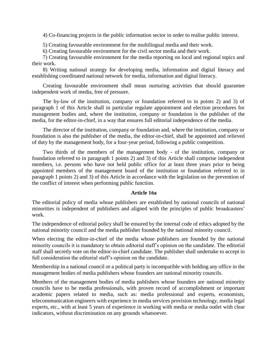4) Co-financing projects in the public information sector in order to realise public interest.

5) Creating favourable environment for the multilingual media and their work.

6) Creating favourable environment for the civil sector media and their work.

7) Creating favourable environment for the media reporting on local and regional topics and their work.

8) Writing national strategy for developing media, information and digital literacy and establishing coordinated national network for media, information and digital literacy.

Creating favourable environment shall mean nurturing activities that should guarantee independent work of media, free of pressure.

The by-law of the institution, company or foundation referred to in points 2) and 3) of paragraph 1 of this Article shall in particular regulate appointment and election procedures for management bodies and, where the institution, company or foundation is the publisher of the media, for the editor-in-chief, in a way that ensures full editorial independence of the media.

The director of the institution, company or foundation and, where the institution, company or foundation is also the publisher of the media, the editor-in-chief, shall be appointed and relieved of duty by the management body, for a four-year period, following a public competition.

Two thirds of the members of the management body - of the institution, company or foundation referred to in paragraph 1 points 2) and 3) of this Article shall comprise independent members, i.e. persons who have not held public office for at least three years prior to being appointed members of the management board of the institution or foundation referred to in paragraph 1 points 2) and 3) of this Article in accordance with the legislation on the prevention of the conflict of interest when performing public function.

# **Article 16а**

The editorial policy of media whose publishers are established by national councils of national minorities is independent of publishers and aligned with the principles of public broadcasters' work.

The independence of editorial policy shall be ensured by the internal code of ethics adopted by the national minority council and the media publisher founded by the national minority council.

When electing the editor-in-chief of the media whose publishers are founded by the national minority councils it is mandatory to obtain editorial staff's opinion on the candidate. The editorial staff shall secretly vote on the editor-in-chief candidate. The publisher shall undertake to accept in full consideration the editorial staff's opinion on the candidate.

Membership in a national council or a political party is incompatible with holding any office in the management bodies of media publishers whose founders are national minority councils.

Members of the management bodies of media publishers whose founders are national minority councils have to be media professionals, with proven record of accomplishment or important academic papers related to media, such as: media professional and experts, economists, telecommunication engineers with experience in media services provision technology, media legal experts, etc., with at least 5 years of experience in working with media or media outlet with clear indicators, without discrimination on any grounds whatsoever.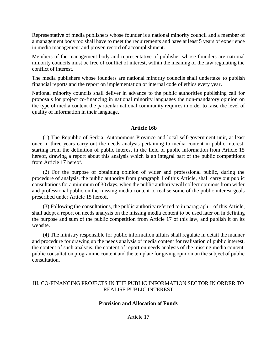Representative of media publishers whose founder is a national minority council and a member of a management body too shall have to meet the requirements and have at least 5 years of experience in media management and proven record of accomplishment.

Members of the management body and representative of publisher whose founders are national minority councils must be free of conflict of interest, within the meaning of the law regulating the conflict of interest.

The media publishers whose founders are national minority councils shall undertake to publish financial reports and the report on implementation of internal code of ethics every year.

National minority councils shall deliver in advance to the public authorities publishing call for proposals for project co-financing in national minority languages the non-mandatory opinion on the type of media content the particular national community requires in order to raise the level of quality of information in their language.

# **Article 16b**

(1) The Republic of Serbia, Autonomous Province and local self-government unit, at least once in three years carry out the needs analysis pertaining to media content in public interest, starting from the definition of public interest in the field of public information from Article 15 hereof, drawing a report about this analysis which is an integral part of the public competitions from Article 17 hereof.

(2) For the purpose of obtaining opinion of wider and professional public, during the procedure of analysis, the public authority from paragraph 1 of this Article, shall carry out public consultations for a minimum of 30 days, when the public authority will collect opinions from wider and professional public on the missing media content to realise some of the public interest goals prescribed under Article 15 hereof.

(3) Following the consultations, the public authority referred to in paragraph 1 of this Article, shall adopt a report on needs analysis on the missing media content to be used later on in defining the purpose and sum of the public competition from Article 17 of this law, and publish it on its website.

(4) The ministry responsible for public information affairs shall regulate in detail the manner and procedure for drawing up the needs analysis of media content for realisation of public interest, the content of such analysis, the content of report on needs analysis of the missing media content, public consultation programme content and the template for giving opinion on the subject of public consultation.

# III. CO-FINANCING PROJECTS IN THE PUBLIC INFORMATION SECTOR IN ORDER TO REALISE PUBLIC INTEREST

# **Provision and Allocation of Funds**

Article 17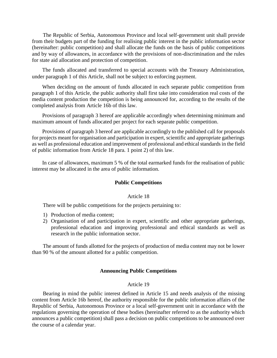The Republic of Serbia, Autonomous Province and local self-government unit shall provide from their budgets part of the funding for realising public interest in the public information sector (hereinafter: public competition) and shall allocate the funds on the basis of public competitions and by way of allowances, in accordance with the provisions of non-discrimination and the rules for state aid allocation and protection of competition.

The funds allocated and transferred to special accounts with the Treasury Administration, under paragraph 1 of this Article, shall not be subject to enforcing payment.

When deciding on the amount of funds allocated in each separate public competition from paragraph 1 of this Article, the public authority shall first take into consideration real costs of the media content production the competition is being announced for, according to the results of the completed analysis from Article 16b of this law.

Provisions of paragraph 3 hereof are applicable accordingly when determining minimum and maximum amount of funds allocated per project for each separate public competition.

Provisions of paragraph 3 hereof are applicable accordingly to the published call for proposals for projects meant for organisation and participation in expert, scientific and appropriate gatherings as well as professional education and improvement of professional and ethical standards in the field of public information from Article 18 para. 1 point 2) of this law.

In case of allowances, maximum 5 % of the total earmarked funds for the realisation of public interest may be allocated in the area of public information.

## **Public Competitions**

### Article 18

There will be public competitions for the projects pertaining to:

- 1) Production of media content;
- 2) Organisation of and participation in expert, scientific and other appropriate gatherings, professional education and improving professional and ethical standards as well as research in the public information sector.

The amount of funds allotted for the projects of production of media content may not be lower than 90 % of the amount allotted for a public competition.

### **Announcing Public Competitions**

### Article 19

Bearing in mind the public interest defined in Article 15 and needs analysis of the missing content from Article 16b hereof, the authority responsible for the public information affairs of the Republic of Serbia, Autonomous Province or a local self-government unit in accordance with the regulations governing the operation of these bodies (hereinafter referred to as the authority which announces a public competition) shall pass a decision on public competitions to be announced over the course of a calendar year.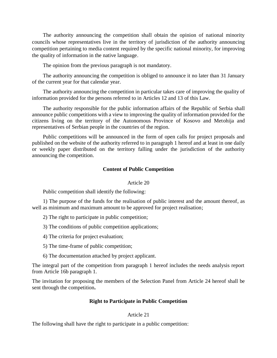The authority announcing the competition shall obtain the opinion of national minority councils whose representatives live in the territory of jurisdiction of the authority announcing competition pertaining to media content required by the specific national minority, for improving the quality of information in the native language.

The opinion from the previous paragraph is not mandatory.

The authority announcing the competition is obliged to announce it no later than 31 January of the current year for that calendar year.

The authority announcing the competition in particular takes care of improving the quality of information provided for the persons referred to in Articles 12 and 13 of this Law.

The authority responsible for the public information affairs of the Republic of Serbia shall announce public competitions with a view to improving the quality of information provided for the citizens living on the territory of the Autonomous Province of Kosovo and Metohija and representatives of Serbian people in the countries of the region.

Public competitions will be announced in the form of open calls for project proposals and published on the website of the authority referred to in paragraph 1 hereof and at least in one daily or weekly paper distributed on the territory falling under the jurisdiction of the authority announcing the competition.

## **Content of Public Competition**

### Article 20

Public competition shall identify the following:

1) The purpose of the funds for the realisation of public interest and the amount thereof, as well as minimum and maximum amount to be approved for project realisation;

- 2) The right to participate in public competition;
- 3) The conditions of public competition applications;
- 4) The criteria for project evaluation;
- 5) The time-frame of public competition;
- 6) The documentation attached by project applicant.

The integral part of the competition from paragraph 1 hereof includes the needs analysis report from Article 16b paragraph 1.

The invitation for proposing the members of the Selection Panel from Article 24 hereof shall be sent through the competition**.**

## **Right to Participate in Public Competition**

### Article 21

The following shall have the right to participate in a public competition: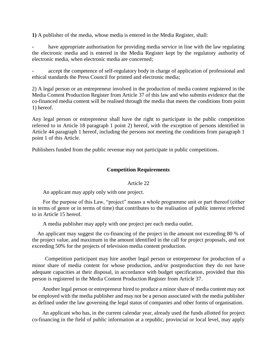**1)** A publisher of the media, whose media is entered in the Media Register, shall:

have appropriate authorisation for providing media service in line with the law regulating the electronic media and is entered in the Media Register kept by the regulatory authority of electronic media, when electronic media are concerned;

accept the competence of self-regulatory body in charge of application of professional and ethical standards the Press Council for printed and electronic media;

2) A legal person or an entrepreneur involved in the production of media content registered in the Media Content Production Register from Article 37 of this law and who submits evidence that the co-financed media content will be realised through the media that meets the conditions from point 1) hereof.

Any legal person or entrepreneur shall have the right to participate in the public competition referred to in Article 18 paragraph 1 point 2) hereof, with the exception of persons identified in Article 44 paragraph 1 hereof, including the persons not meeting the conditions from paragraph 1 point 1 of this Article.

Publishers funded from the public revenue may not participate in public competitions.

# **Competition Requirements**

# Article 22

An applicant may apply only with one project.

For the purpose of this Law, "project" means a whole programme unit or part thereof (either in terms of genre or in terms of time) that contributes to the realisation of public interest referred to in Article 15 hereof.

A media publisher may apply with one project per each media outlet.

 An applicant may suggest the co-financing of the project in the amount not exceeding 80 % of the project value, and maximum in the amount identified in the call for project proposals, and not exceeding 50% for the projects of television media content production.

 Competition participant may hire another legal person or entrepreneur for production of a minor share of media content for whose production, and/or postproduction they do not have adequate capacities at their disposal, in accordance with budget specification, provided that this person is registered in the Media Content Production Register from Article 37.

Another legal person or entrepreneur hired to produce a minor share of media content may not be employed with the media publisher and may not be a person associated with the media publisher as defined under the law governing the legal status of companies and other forms of organisation.

An applicant who has, in the current calendar year, already used the funds allotted for project co-financing in the field of public information at a republic, provincial or local level, may apply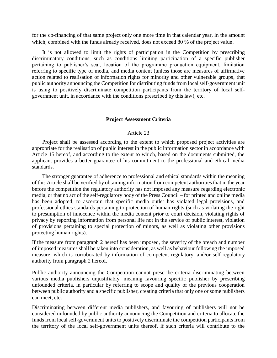for the co-financing of that same project only one more time in that calendar year, in the amount which, combined with the funds already received, does not exceed 80 % of the project value.

It is not allowed to limit the rights of participation in the Competition by prescribing discriminatory conditions, such as conditions limiting participation of a specific publisher pertaining to publisher's seat, location of the programme production equipment, limitation referring to specific type of media, and media content (unless those are measures of affirmative action related to realisation of information rights for minority and other vulnerable groups, that public authority announcing the Competition for distributing funds from local self-government unit is using to positively discriminate competition participants from the territory of local selfgovernment unit, in accordance with the conditions prescribed by this law), etc.

### **Project Assessment Criteria**

### Article 23

Project shall be assessed according to the extent to which proposed project activities are appropriate for the realisation of public interest in the public information sector in accordance with Article 15 hereof, and according to the extent to which, based on the documents submitted, the applicant provides a better guarantee of his commitment to the professional and ethical media standards.

The stronger guarantee of adherence to professional and ethical standards within the meaning of this Article shall be verified by obtaining information from competent authorities that in the year before the competition the regulatory authority has not imposed any measure regarding electronic media, or that no act of the self-regulatory body of the Press Council – for printed and online media has been adopted, to ascertain that specific media outlet has violated legal provisions, and professional ethics standards pertaining to protection of human rights (such as violating the right to presumption of innocence within the media content prior to court decision, violating rights of privacy by reporting information from personal life not in the service of public interest, violation of provisions pertaining to special protection of minors, as well as violating other provisions protecting human rights).

If the measure from paragraph 2 hereof has been imposed, the severity of the breach and number of imposed measures shall be taken into consideration, as well as behaviour following the imposed measure, which is corroborated by information of competent regulatory, and/or self-regulatory authority from paragraph 2 hereof.

Public authority announcing the Competition cannot prescribe criteria discriminating between various media publishers unjustifiably, meaning favouring specific publisher by prescribing unfounded criteria, in particular by referring to scope and quality of the previous cooperation between public authority and a specific publisher, creating criteria that only one or some publishers can meet, etc.

Discriminating between different media publishers, and favouring of publishers will not be considered unfounded by public authority announcing the Competition and criteria to allocate the funds from local self-government units to positively discriminate the competition participants from the territory of the local self-government units thereof, if such criteria will contribute to the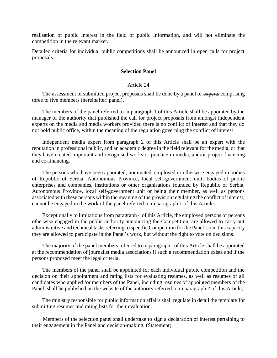realisation of public interest in the field of public information, and will not eliminate the competition in the relevant market.

Detailed criteria for individual public competitions shall be announced in open calls for project proposals.

### **Selection Panel**

### Article 24

The assessment of submitted project proposals shall be done by a panel of experts comprising three to five members (hereinafter: panel).

The members of the panel referred to in paragraph 1 of this Article shall be appointed by the manager of the authority that published the call for project proposals from amongst independent experts on the media and media workers provided there is no conflict of interest and that they do not hold public office, within the meaning of the regulation governing the conflict of interest.

Independent media expert from paragraph 2 of this Article shall be an expert with the reputation in professional public, and an academic degree in the field relevant for the media, or that they have created important and recognised works or practice in media, and/or project financing and co-financing.

The persons who have been appointed, nominated, employed or otherwise engaged in bodies of Republic of Serbia, Autonomous Province, local self-government unit, bodies of public enterprises and companies, institutions or other organisations founded by Republic of Serbia, Autonomous Province, local self-government unit or being their member, as well as persons associated with these persons within the meaning of the provision regulating the conflict of interest, cannot be engaged in the work of the panel referred to in paragraph 1 of this Article.

Exceptionally to limitations from paragraph 4 of this Article, the employed persons or persons otherwise engaged in the public authority announcing the Competition, are allowed to carry out administrative and technical tasks referring to specific Competition for the Panel, so in this capacity they are allowed to participate in the Panel's work, but without the right to vote on decisions.

The majority of the panel members referred to in paragraph 1of this Article shall be appointed at the recommendation of journalist media associations if such a recommendation exists and if the persons proposed meet the legal criteria.

The members of the panel shall be appointed for each individual public competition and the decision on their appointment and rating lists for evaluating resumes, as well as resumes of all candidates who applied for members of the Panel, including resumes of appointed members of the Panel, shall be published on the website of the authority referred to in paragraph 2 of this Article,

The ministry responsible for public information affairs shall regulate in detail the template for submitting resumes and rating lists for their evaluation.

Members of the selection panel shall undertake to sign a declaration of interest pertaining to their engagement in the Panel and decision-making. (Statement).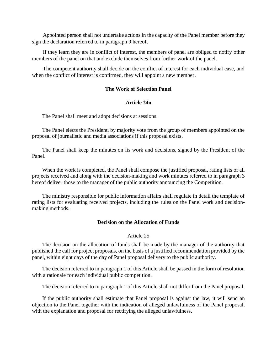Appointed person shall not undertake actions in the capacity of the Panel member before they sign the declaration referred to in paragraph 9 hereof.

If they learn they are in conflict of interest, the members of panel are obliged to notify other members of the panel on that and exclude themselves from further work of the panel.

The competent authority shall decide on the conflict of interest for each individual case, and when the conflict of interest is confirmed, they will appoint a new member.

## **The Work of Selection Panel**

### **Article 24а**

The Panel shall meet and adopt decisions at sessions.

The Panel elects the President, by majority vote from the group of members appointed on the proposal of journalistic and media associations if this proposal exists.

The Panel shall keep the minutes on its work and decisions, signed by the President of the Panel.

When the work is completed, the Panel shall compose the justified proposal, rating lists of all projects received and along with the decision-making and work minutes referred to in paragraph 3 hereof deliver those to the manager of the public authority announcing the Competition.

The ministry responsible for public information affairs shall regulate in detail the template of rating lists for evaluating received projects, including the rules on the Panel work and decisionmaking methods.

#### **Decision on the Allocation of Funds**

## Article 25

The decision on the allocation of funds shall be made by the manager of the authority that published the call for project proposals, on the basis of a justified recommendation provided by the panel, within eight days of the day of Panel proposal delivery to the public authority.

The decision referred to in paragraph 1 of this Article shall be passed in the form of resolution with a rationale for each individual public competition.

The decision referred to in paragraph 1 of this Article shall not differ from the Panel proposal.

If the public authority shall estimate that Panel proposal is against the law, it will send an objection to the Panel together with the indication of alleged unlawfulness of the Panel proposal, with the explanation and proposal for rectifying the alleged unlawfulness.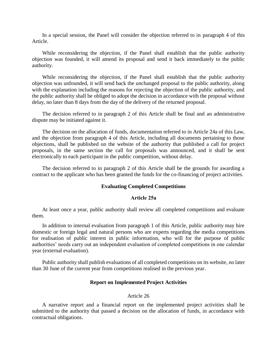In a special session, the Panel will consider the objection referred to in paragraph 4 of this Article.

While reconsidering the objection, if the Panel shall establish that the public authority objection was founded, it will amend its proposal and send it back immediately to the public authority.

While reconsidering the objection, if the Panel shall establish that the public authority objection was unfounded, it will send back the unchanged proposal to the public authority, along with the explanation including the reasons for rejecting the objection of the public authority, and the public authority shall be obliged to adopt the decision in accordance with the proposal without delay, no later than 8 days from the day of the delivery of the returned proposal.

The decision referred to in paragraph 2 of this Article shall be final and an administrative dispute may be initiated against it.

The decision on the allocation of funds, documentation referred to in Article 24а of this Law, and the objection from paragraph 4 of this Article, including all documents pertaining to those objections, shall be published on the website of the authority that published a call for project proposals, in the same section the call for proposals was announced, and it shall be sent electronically to each participant in the public competition, without delay.

The decision referred to in paragraph 2 of this Article shall be the grounds for awarding a contract to the applicant who has been granted the funds for the co-financing of project activities.

### **Evaluating Completed Competitions**

#### **Article 25а**

At least once a year, public authority shall review all completed competitions and evaluate them.

In addition to internal evaluation from paragraph 1 of this Article, public authority may hire domestic or foreign legal and natural persons who are experts regarding the media competitions for realisation of public interest in public information, who will for the purpose of public authorities' needs carry out an independent evaluation of completed competitions in one calendar year (external evaluation).

Public authority shall publish evaluations of all completed competitions on its website, no later than 30 June of the current year from competitions realised in the previous year.

## **Report on Implemented Project Activities**

# Article 26

A narrative report and a financial report on the implemented project activities shall be submitted to the authority that passed a decision on the allocation of funds, in accordance with contractual obligations.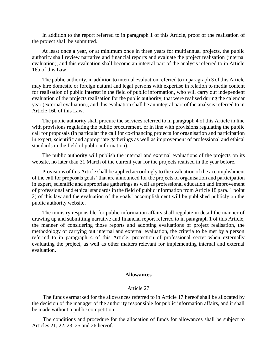In addition to the report referred to in paragraph 1 of this Article, proof of the realisation of the project shall be submitted.

At least once a year, or at minimum once in three years for multiannual projects, the public authority shall review narrative and financial reports and evaluate the project realisation (internal evaluation), and this evaluation shall become an integral part of the analysis referred to in Article 16b of this Law.

The public authority, in addition to internal evaluation referred to in paragraph 3 of this Article may hire domestic or foreign natural and legal persons with expertise in relation to media content for realisation of public interest in the field of public information, who will carry out independent evaluation of the projects realisation for the public authority, that were realised during the calendar year (external evaluation), and this evaluation shall be an integral part of the analysis referred to in Article 16b of this Law.

The public authority shall procure the services referred to in paragraph 4 of this Article in line with provisions regulating the public procurement, or in line with provisions regulating the public call for proposals (in particular the call for co-financing projects for organisation and participation in expert, scientific and appropriate gatherings as well as improvement of professional and ethical standards in the field of public information).

The public authority will publish the internal and external evaluations of the projects on its website, no later than 31 March of the current year for the projects realised in the year before.

Provisions of this Article shall be applied accordingly to the evaluation of the accomplishment of the call for proposals goals' that are announced for the projects of organisation and participation in expert, scientific and appropriate gatherings as well as professional education and improvement of professional and ethical standards in the field of public information from Article 18 para. 1 point 2) of this law and the evaluation of the goals' accomplishment will be published publicly on the public authority website.

The ministry responsible for public information affairs shall regulate in detail the manner of drawing up and submitting narrative and financial report referred to in paragraph 1 of this Article, the manner of considering those reports and adopting evaluations of project realisation, the methodology of carrying out internal and external evaluation, the criteria to be met by a person referred to in paragraph 4 of this Article, protection of professional secret when externally evaluating the project, as well as other matters relevant for implementing internal and external evaluation.

#### **Allowances**

#### Article 27

The funds earmarked for the allowances referred to in Article 17 hereof shall be allocated by the decision of the manager of the authority responsible for public information affairs, and it shall be made without a public competition.

The conditions and procedure for the allocation of funds for allowances shall be subject to Articles 21, 22, 23, 25 and 26 hereof.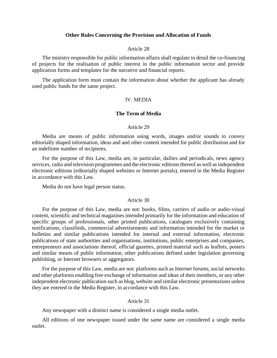#### **Other Rules Concerning the Provision and Allocation of Funds**

#### Article 28

The ministry responsible for public information affairs shall regulate in detail the co-financing of projects for the realisation of public interest in the public information sector and provide application forms and templates for the narrative and financial reports.

The application form must contain the information about whether the applicant has already used public funds for the same project.

# IV. МЕDIA

#### **The Term of Media**

### Article 29

Media are means of public information using words, images and/or sounds to convey editorially shaped information, ideas and and other content intended for public distribution and for an indefinite number of recipients.

For the purpose of this Law, media are, in particular, dailies and periodicals, news agency services, radio and television programmes and the electronic editions thereof as well as independent electronic editions (editorially shaped websites or Internet portals), entered in the Media Register in accordance with this Law.

Media do not have legal person status.

#### Article 30

For the purpose of this Law, media are not: books, films, carriers of audio or audio-visual content, scientific and technical magazines intended primarily for the information and education of specific groups of professionals, other printed publications, catalogues exclusively containing notifications, classifieds, commercial advertisements and information intended for the market or bulletins and similar publications intended for internal and external information, electronic publications of state authorities and organisations, institutions, public enterprises and companies, entrepreneurs and associations thereof, official gazettes, printed material such as leaflets, posters and similar means of public information, other publications defined under legislation governing publishing, or Internet browsers or aggregators.

For the purpose of this Law, media are not: platforms such as Internet forums, social networks and other platforms enabling free exchange of information and ideas of their members, or any other independent electronic publication such as blog, website and similar electronic presentations unless they are entered in the Media Register, in accordance with this Law.

#### Article 31

Any newspaper with a distinct name is considered a single media outlet.

All editions of one newspaper issued under the same name are considered a single media outlet.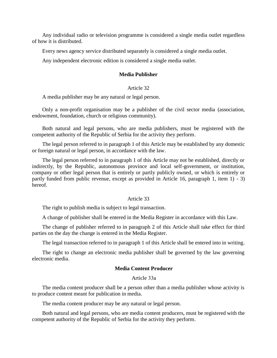Any individual radio or television programme is considered a single media outlet regardless of how it is distributed.

Every news agency service distributed separately is considered a single media outlet.

Any independent electronic edition is considered a single media outlet.

# **Media Publisher**

## Article 32

A media publisher may be any natural or legal person.

Only a non-profit organisation may be a publisher of the civil sector media (association, endowment, foundation, church or religious community).

Both natural and legal persons, who are media publishers, must be registered with the competent authority of the Republic of Serbia for the activity they perform.

The legal person referred to in paragraph 1 of this Article may be established by any domestic or foreign natural or legal person, in accordance with the law.

The legal person referred to in paragraph 1 of this Article may not be established, directly or indirectly, by the Republic, autonomous province and local self-government, or institution, company or other legal person that is entirely or partly publicly owned, or which is entirely or partly funded from public revenue, except as provided in Article 16, paragraph 1, item 1) - 3) hereof.

# Article 33

The right to publish media is subject to legal transaction.

A change of publisher shall be entered in the Media Register in accordance with this Law.

The change of publisher referred to in paragraph 2 of this Article shall take effect for third parties on the day the change is entered in the Media Register.

The legal transaction referred to in paragraph 1 of this Article shall be entered into in writing.

The right to change an electronic media publisher shall be governed by the law governing electronic media.

## **Media Content Producer**

## Article 33а

The media content producer shall be a person other than a media publisher whose activity is to produce content meant for publication in media.

The media content producer may be any natural or legal person.

Both natural and legal persons, who are media content producers, must be registered with the competent authority of the Republic of Serbia for the activity they perform.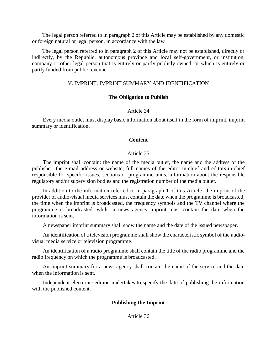The legal person referred to in paragraph 2 of this Article may be established by any domestic or foreign natural or legal person, in accordance with the law

The legal person referred to in paragraph 2 of this Article may not be established, directly or indirectly, by the Republic, autonomous province and local self-government, or institution, company or other legal person that is entirely or partly publicly owned, or which is entirely or partly funded from public revenue.

# V. IMPRINT, IMPRINT SUMMARY AND IDENTIFICATION

## **The Obligation to Publish**

### Article 34

Every media outlet must display basic information about itself in the form of imprint, imprint summary or identification.

### **Content**

# Article 35

The imprint shall contain: the name of the media outlet, the name and the address of the publisher, the e-mail address or website, full names of the editor-in-chief and editors-in-chief responsible for specific issues, sections or programme units, information about the responsible regulatory and/or supervision bodies and the registration number of the media outlet.

In addition to the information referred to in paragraph 1 of this Article, the imprint of the provider of audio-visual media services must contain the date when the programme is broadcasted, the time when the imprint is broadcasted, the frequency symbols and the TV channel where the programme is broadcasted, whilst a news agency imprint must contain the date when the information is sent.

A newspaper imprint summary shall show the name and the date of the issued newspaper.

An identification of a television programme shall show the characteristic symbol of the audiovisual media service or television programme.

An identification of a radio programme shall contain the title of the radio programme and the radio frequency on which the programme is broadcasted.

An imprint summary for a news agency shall contain the name of the service and the date when the information is sent.

Independent electronic edition undertakes to specify the date of publishing the information with the published content.

# **Publishing the Imprint**

Article 36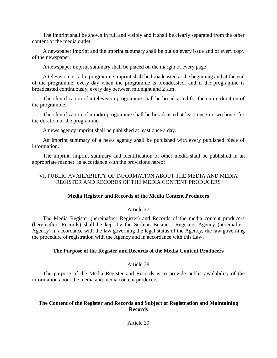The imprint shall be shown in full and visibly and it shall be clearly separated from the other content of the media outlet.

A newspaper imprint and the imprint summary shall be put on every issue and of every copy of the newspaper.

A newspaper imprint summary shall be placed on the margin of every page.

A television or radio programme imprint shall be broadcasted at the beginning and at the end of the programme, every day when the programme is broadcasted, and if the programme is broadcasted continuously, every day between midnight and 2 a.m.

The identification of a television programme shall be broadcasted for the entire duration of the programme.

The identification of a radio programme shall be broadcasted at least once in two hours for the duration of the programme.

A news agency imprint shall be published at least once a day.

An imprint summary of a news agency shall be published with every published piece of information.

The imprint, imprint summary and identification of other media shall be published in an appropriate manner, in accordance with the provisions hereof.

# VI. PUBLIC AVAILABILITY OF INFORMATION ABOUT THE MEDIA AND MEDIA REGISTER AND RECORDS OF THE MEDIA CONTENT PRODUCERS

# **Media Register and Records of the Media Content Producers**

# Article 37

The Media Register (hereinafter: Register) and Records of the media content producers (hereinafter: Records) shall be kept by the Serbian Business Registers Agency (hereinafter: Agency) in accordance with the law governing the legal status of the Agency, the law governing the procedure of registration with the Agency and in accordance with this Law.

# **The Purpose of the Register and Records of the Media Content Producers**

# Article 38

The purpose of the Media Register and Records is to provide public availability of the information about the media and media content producers.

# **The Content of the Register and Records and Subject of Registration and Maintaining Records**

# Article 39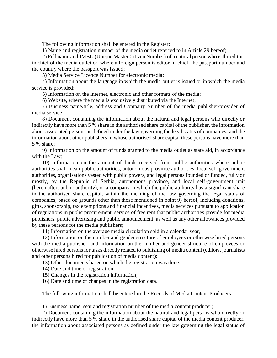The following information shall be entered in the Register:

1) Name and registration number of the media outlet referred to in Article 29 hereof;

2) Full name and JMBG (Unique Master Citizen Number) of a natural person who is the editorin chief of the media outlet or, where a foreign person is editor-in-chief, the passport number and the country where the passport was issued;

3) Media Service Licence Number for electronic media;

4) Information about the language in which the media outlet is issued or in which the media service is provided;

5) Information on the Internet, electronic and other formats of the media;

6) Website, where the media is exclusively distributed via the Internet;

7) Business name/title, address and Company Number of the media publisher/provider of media service;

8) Document containing the information about the natural and legal persons who directly or indirectly have more than 5 % share in the authorised share capital of the publisher, the information about associated persons as defined under the law governing the legal status of companies, and the information about other publishers in whose authorised share capital these persons have more than 5 % share;

9) Information on the amount of funds granted to the media outlet as state aid, in accordance with the Law;

10) Information on the amount of funds received from public authorities where public authorities shall mean public authorities, autonomous province authorities, local self-government authorities, organisations vested with public powers, and legal persons founded or funded, fully or mostly, by the Republic of Serbia, autonomous province, and local self-government unit (hereinafter: public authority), or a company in which the public authority has a significant share in the authorised share capital, within the meaning of the law governing the legal status of companies, based on grounds other than those mentioned in point 9) hereof, including donations, gifts, sponsorship, tax exemptions and financial incentives, media services pursuant to application of regulations in public procurement, service of free rent that public authorities provide for media publishers, public advertising and public announcement, as well as any other allowances provided by these persons for the media publishers;

11) Information on the average media circulation sold in a calendar year;

12) Information on the number and gender structure of employees or otherwise hired persons with the media publisher, and information on the number and gender structure of employees or otherwise hired persons for tasks directly related to publishing of media content (editors, journalists and other persons hired for publication of media content);

13) Other documents based on which the registration was done;

14) Date and time of registration;

- 15) Changes in the registration information;
- 16) Date and time of changes in the registration data.

The following information shall be entered in the Records of Media Content Producers:

1) Business name, seat and registration number of the media content producer;

2) Document containing the information about the natural and legal persons who directly or indirectly have more than 5 % share in the authorised share capital of the media content producer, the information about associated persons as defined under the law governing the legal status of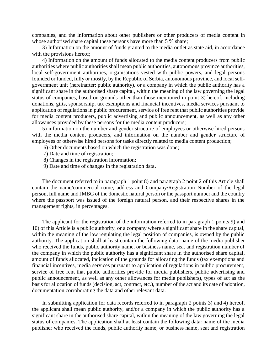companies, and the information about other publishers or other producers of media content in whose authorised share capital these persons have more than 5 % share;

3) Information on the amount of funds granted to the media outlet as state aid, in accordance with the provisions hereof;

4) Information on the amount of funds allocated to the media content producers from public authorities where public authorities shall mean public authorities, autonomous province authorities, local self-government authorities, organisations vested with public powers, and legal persons founded or funded, fully or mostly, by the Republic of Serbia, autonomous province, and local selfgovernment unit (hereinafter: public authority), or a company in which the public authority has a significant share in the authorised share capital, within the meaning of the law governing the legal status of companies, based on grounds other than those mentioned in point 3) hereof, including donations, gifts, sponsorship, tax exemptions and financial incentives, media services pursuant to application of regulations in public procurement, service of free rent that public authorities provide for media content producers, public advertising and public announcement, as well as any other allowances provided by these persons for the media content producers;

5) information on the number and gender structure of employees or otherwise hired persons with the media content producers, and information on the number and gender structure of employees or otherwise hired persons for tasks directly related to media content production;

- 6) Other documents based on which the registration was done;
- 7) Date and time of registration;
- 8) Changes in the registration information;
- 9) Date and time of changes in the registration data.

The document referred to in paragraph 1 point 8) and paragraph 2 point 2 of this Article shall contain the name/commercial name, address and Company/Registration Number of the legal person, full name and JMBG of the domestic natural person or the passport number and the country where the passport was issued of the foreign natural person, and their respective shares in the management rights, in percentages.

The applicant for the registration of the information referred to in paragraph 1 points 9) and 10) of this Article is a public authority, or a company where a significant share in the share capital, within the meaning of the law regulating the legal position of companies, is owned by the public authority. The application shall at least contain the following data: name of the media publisher who received the funds, public authority name, or business name, seat and registration number of the company in which the public authority has a significant share in the authorised share capital, amount of funds allocated, indication of the grounds for allocating the funds (tax exemptions and financial incentives, media services pursuant to application of regulations in public procurement, service of free rent that public authorities provide for media publishers, public advertising and public announcement, as well as any other allowances for media publishers), types of act as the basis for allocation of funds (decision, act, contract, etc.), number of the act and its date of adoption, documentation corroborating the data and other relevant data.

In submitting application for data records referred to in paragraph 2 points 3) and 4) hereof, the applicant shall mean public authority, and/or a company in which the public authority has a significant share in the authorised share capital, within the meaning of the law governing the legal status of companies. The application shall at least contain the following data: name of the media publisher who received the funds, public authority name, or business name, seat and registration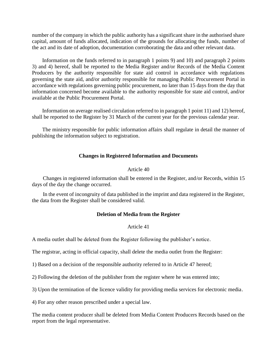number of the company in which the public authority has a significant share in the authorised share capital, amount of funds allocated, indication of the grounds for allocating the funds, number of the act and its date of adoption, documentation corroborating the data and other relevant data.

Information on the funds referred to in paragraph 1 points 9) and 10) and paragraph 2 points 3) and 4) hereof, shall be reported to the Media Register and/or Records of the Media Content Producers by the authority responsible for state aid control in accordance with regulations governing the state aid, and/or authority responsible for managing Public Procurement Portal in accordance with regulations governing public procurement, no later than 15 days from the day that information concerned become available to the authority responsible for state aid control, and/or available at the Public Procurement Portal.

Information on average realised circulation referred to in paragraph 1 point 11) and 12) hereof, shall be reported to the Register by 31 March of the current year for the previous calendar year.

The ministry responsible for public information affairs shall regulate in detail the manner of publishing the information subject to registration.

# **Changes in Registered Information and Documents**

## Article 40

Changes in registered information shall be entered in the Register, and/or Records, within 15 days of the day the change occurred.

In the event of incongruity of data published in the imprint and data registered in the Register, the data from the Register shall be considered valid.

# **Deletion of Media from the Register**

# Article 41

A media outlet shall be deleted from the Register following the publisher's notice.

The registrar, acting in official capacity, shall delete the media outlet from the Register:

1) Based on a decision of the responsible authority referred to in Article 47 hereof;

2) Following the deletion of the publisher from the register where he was entered into;

3) Upon the termination of the licence validity for providing media services for electronic media.

4) For any other reason prescribed under a special law.

The media content producer shall be deleted from Media Content Producers Records based on the report from the legal representative.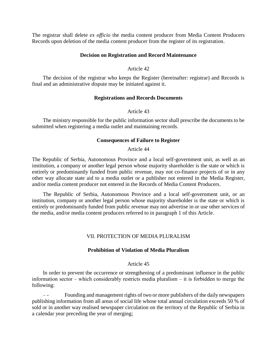The registrar shall delete *ex officio* the media content producer from Media Content Producers Records upon deletion of the media content producer from the register of its registration.

## **Decision on Registration and Record Maintenance**

### Article 42

The decision of the registrar who keeps the Register (hereinafter: registrar) and Records is final and an administrative dispute may be initiated against it.

## **Registrations and Records Documents**

## Article 43

The ministry responsible for the public information sector shall prescribe the documents to be submitted when registering a media outlet and maintaining records.

## **Consequences of Failure to Register**

## Article 44

The Republic of Serbia, Autonomous Province and a local self-government unit, as well as an institution, a company or another legal person whose majority shareholder is the state or which is entirely or predominantly funded from public revenue, may not co-finance projects of or in any other way allocate state aid to a media outlet or a publisher not entered in the Media Register, and/or media content producer not entered in the Records of Media Content Producers.

The Republic of Serbia, Autonomous Province and a local self-government unit, or an institution, company or another legal person whose majority shareholder is the state or which is entirely or predominantly funded from public revenue may not advertise in or use other services of the media, and/or media content producers referred to in paragraph 1 of this Article.

# VII. PROTECTION OF MEDIA PLURALISM

# **Prohibition of Violation of Media Pluralism**

# Article 45

In order to prevent the occurrence or strengthening of a predominant influence in the public information sector  $-$  which considerably restricts media pluralism  $-$  it is forbidden to merge the following:

Founding and management rights of two or more publishers of the daily newspapers publishing information from all areas of social life whose total annual circulation exceeds 50 % of sold or in another way realised newspaper circulation on the territory of the Republic of Serbia in a calendar year preceding the year of merging;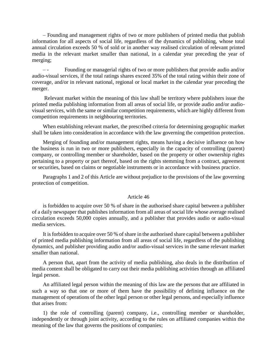– Founding and management rights of two or more publishers of printed media that publish information for all aspects of social life, regardless of the dynamics of publishing, whose total annual circulation exceeds 50 % of sold or in another way realised circulation of relevant printed media in the relevant market smaller than national, in a calendar year preceding the year of merging;

Founding or managerial rights of two or more publishers that provide audio and/or audio-visual services, if the total ratings shares exceed 35% of the total rating within their zone of coverage, and/or in relevant national, regional or local market in the calendar year preceding the merger.

Relevant market within the meaning of this law shall be territory where publishers issue the printed media publishing information from all areas of social life, or provide audio and/or audiovisual services, with the same or similar competition requirements, which are highly different from competition requirements in neighbouring territories.

When establishing relevant market, the prescribed criteria for determining geographic market shall be taken into consideration in accordance with the law governing the competition protection.

Merging of founding and/or management rights, means having a decisive influence on how the business is run in two or more publishers, especially in the capacity of controlling (parent) company, or controlling member or shareholder, based on the property or other ownership rights pertaining to a property or part thereof, based on the rights stemming from a contract, agreement or securities, based on claims or negotiable instruments or in accordance with business practice.

Paragraphs 1 and 2 of this Article are without prejudice to the provisions of the law governing protection of competition.

### Article 46

is forbidden to acquire over 50 % of share in the authorised share capital between a publisher of a daily newspaper that publishes information from all areas of social life whose average realised circulation exceeds 50,000 copies annually, and a publisher that provides audio or audio-visual media services.

It is forbidden to acquire over 50 % of share in the authorised share capital between a publisher of printed media publishing information from all areas of social life, regardless of the publishing dynamics, and publisher providing audio and/or audio-visual services in the same relevant market smaller than national.

A person that, apart from the activity of media publishing, also deals in the distribution of media content shall be obligated to carry out their media publishing activities through an affiliated legal person.

An affiliated legal person within the meaning of this law are the persons that are affiliated in such a way so that one or more of them have the possibility of defining influence on the management of operations of the other legal person or other legal persons, and especially influence that arises from:

1) the role of controlling (parent) company, i.e., controlling member or shareholder, independently or through joint activity, according to the rules on affiliated companies within the meaning of the law that governs the positions of companies;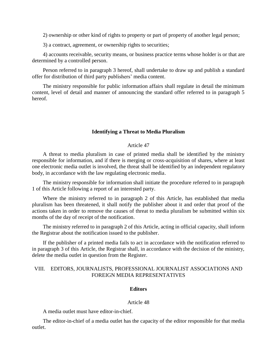2) ownership or other kind of rights to property or part of property of another legal person;

3) a contract, agreement, or ownership rights to securities;

4) accounts receivable, security means, or business practice terms whose holder is or that are determined by a controlled person.

Person referred to in paragraph 3 hereof, shall undertake to draw up and publish a standard offer for distribution of third party publishers' media content.

The ministry responsible for public information affairs shall regulate in detail the minimum content, level of detail and manner of announcing the standard offer referred to in paragraph 5 hereof.

### **Identifying a Threat to Media Pluralism**

### Article 47

A threat to media pluralism in case of printed media shall be identified by the ministry responsible for information, and if there is merging or cross-acquisition of shares, where at least one electronic media outlet is involved, the threat shall be identified by an independent regulatory body, in accordance with the law regulating electronic media.

The ministry responsible for information shall initiate the procedure referred to in paragraph 1 of this Article following a report of an interested party.

Where the ministry referred to in paragraph 2 of this Article, has established that media pluralism has been threatened, it shall notify the publisher about it and order that proof of the actions taken in order to remove the causes of threat to media pluralism be submitted within six months of the day of receipt of the notification.

The ministry referred to in paragraph 2 of this Article, acting in official capacity, shall inform the Registrar about the notification issued to the publisher.

If the publisher of a printed media fails to act in accordance with the notification referred to in paragraph 3 of this Article, the Registrar shall, in accordance with the decision of the ministry, delete the media outlet in question from the Register.

# VIII. EDITORS, JOURNALISTS, PROFESSIONAL JOURNALIST ASSOCIATIONS AND FOREIGN MEDIA REPRESENTATIVES

#### **Editors**

#### Article 48

A media outlet must have editor-in-chief.

The editor-in-chief of a media outlet has the capacity of the editor responsible for that media outlet.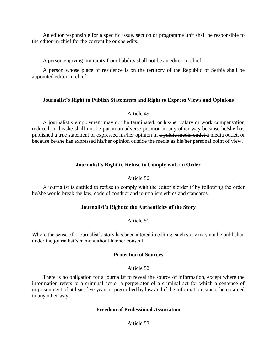An editor responsible for a specific issue, section or programme unit shall be responsible to the editor-in-chief for the content he or she edits.

A person enjoying immunity from liability shall not be an editor-in-chief.

A person whose place of residence is on the territory of the Republic of Serbia shall be appointed editor-in-chief.

# **Journalist's Right to Publish Statements and Right to Express Views and Opinions**

# Article 49

A journalist's employment may not be terminated, or his/her salary or work compensation reduced, or he/she shall not be put in an adverse position in any other way because he/she has published a true statement or expressed his/her opinion in a public media outlet a media outlet, or because he/she has expressed his/her opinion outside the media as his/her personal point of view.

# **Journalist's Right to Refuse to Comply with an Order**

# Article 50

A journalist is entitled to refuse to comply with the editor's order if by following the order he/she would break the law, code of conduct and journalism ethics and standards.

# **Journalist's Right to the Authenticity of the Story**

# Article 51

Where the sense of a journalist's story has been altered in editing, such story may not be published under the journalist's name without his/her consent.

# **Protection of Sources**

# Article 52

There is no obligation for a journalist to reveal the source of information, except where the information refers to a criminal act or a perpetrator of a criminal act for which a sentence of imprisonment of at least five years is prescribed by law and if the information cannot be obtained in any other way.

# **Freedom of Professional Association**

# Article 53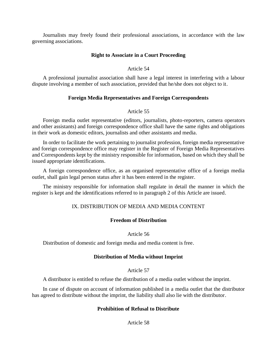Journalists may freely found their professional associations, in accordance with the law governing associations.

# **Right to Associate in a Court Proceeding**

# Article 54

A professional journalist association shall have a legal interest in interfering with a labour dispute involving a member of such association, provided that he/she does not object to it.

# **Foreign Media Representatives and Foreign Correspondents**

# Article 55

Foreign media outlet representative (editors, journalists, photo-reporters, camera operators and other assistants) and foreign correspondence office shall have the same rights and obligations in their work as domestic editors, journalists and other assistants and media.

In order to facilitate the work pertaining to journalist profession, foreign media representative and foreign correspondence office may register in the Register of Foreign Media Representatives and Correspondents kept by the ministry responsible for information, based on which they shall be issued appropriate identifications.

A foreign correspondence office, as an organised representative office of a foreign media outlet, shall gain legal person status after it has been entered in the register.

The ministry responsible for information shall regulate in detail the manner in which the register is kept and the identifications referred to in paragraph 2 of this Article are issued.

# IX. DISTRIBUTION OF MEDIA AND MEDIA CONTENT

# **Freedom of Distribution**

# Article 56

Distribution of domestic and foreign media and media content is free.

# **Distribution of Media without Imprint**

# Article 57

A distributor is entitled to refuse the distribution of a media outlet without the imprint.

In case of dispute on account of information published in a media outlet that the distributor has agreed to distribute without the imprint, the liability shall also lie with the distributor.

# **Prohibition of Refusal to Distribute**

Article 58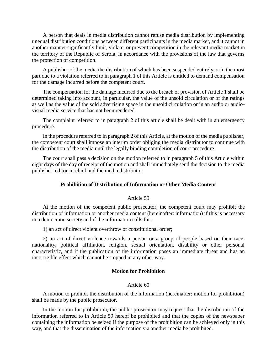A person that deals in media distribution cannot refuse media distribution by implementing unequal distribution conditions between different participants in the media market, and it cannot in another manner significantly limit, violate, or prevent competition in the relevant media market in the territory of the Republic of Serbia, in accordance with the provisions of the law that governs the protection of competition.

A publisher of the media the distribution of which has been suspended entirely or in the most part due to a violation referred to in paragraph 1 of this Article is entitled to demand compensation for the damage incurred before the competent court.

The compensation for the damage incurred due to the breach of provision of Article 1 shall be determined taking into account, in particular, the value of the unsold circulation or of the ratings as well as the value of the sold advertising space in the unsold circulation or in an audio or audiovisual media service that has not been rendered.

The complaint referred to in paragraph 2 of this article shall be dealt with in an emergency procedure.

In the procedure referred to in paragraph 2 of this Article, at the motion of the media publisher, the competent court shall impose an interim order obliging the media distributor to continue with the distribution of the media until the legally binding completion of court procedure.

The court shall pass a decision on the motion referred to in paragraph 5 of this Article within eight days of the day of receipt of the motion and shall immediately send the decision to the media publisher, editor-in-chief and the media distributor.

## **Prohibition of Distribution of Information or Other Media Content**

#### Article 59

At the motion of the competent public prosecutor, the competent court may prohibit the distribution of information or another media content (hereinafter: information) if this is necessary in a democratic society and if the information calls for:

1) an act of direct violent overthrow of constitutional order;

2) an act of direct violence towards a person or a group of people based on their race, nationality, political affiliation, religion, sexual orientation, disability or other personal characteristic, and if the publication of the information poses an immediate threat and has an incorrigible effect which cannot be stopped in any other way.

#### **Motion for Prohibition**

#### Article 60

A motion to prohibit the distribution of the information (hereinafter: motion for prohibition) shall be made by the public prosecutor.

In the motion for prohibition, the public prosecutor may request that the distribution of the information referred to in Article 59 hereof be prohibited and that the copies of the newspaper containing the information be seized if the purpose of the prohibition can be achieved only in this way, and that the dissemination of the information via another media be prohibited.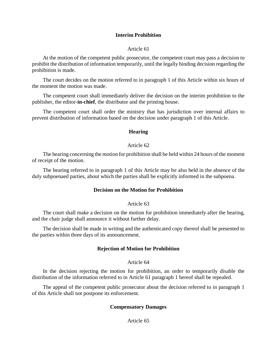# **Interim Prohibition**

#### Article 61

At the motion of the competent public prosecutor, the competent court may pass a decision to prohibit the distribution of information temporarily, until the legally binding decision regarding the prohibition is made.

The court decides on the motion referred to in paragraph 1 of this Article within six hours of the moment the motion was made.

The competent court shall immediately deliver the decision on the interim prohibition to the publisher, the editor-**in-chief**, the distributor and the printing house.

The competent court shall order the ministry that has jurisdiction over internal affairs to prevent distribution of information based on the decision under paragraph 1 of this Article.

### **Hearing**

#### Article 62

The hearing concerning the motion for prohibition shall be held within 24 hours of the moment of receipt of the motion.

The hearing referred to in paragraph 1 of this Article may be also held in the absence of the duly subpoenaed parties, about which the parties shall be explicitly informed in the subpoena.

## **Decision on the Motion for Prohibition**

#### Article 63

The court shall make a decision on the motion for prohibition immediately after the hearing, and the chair judge shall announce it without further delay.

The decision shall be made in writing and the authenticated copy thereof shall be presented to the parties within three days of its announcement.

## **Rejection of Motion for Prohibition**

#### Article 64

In the decision rejecting the motion for prohibition, an order to temporarily disable the distribution of the information referred to in Article 61 paragraph 1 hereof shall be repealed.

The appeal of the competent public prosecutor about the decision referred to in paragraph 1 of this Article shall not postpone its enforcement.

## **Compensatory Damages**

Article 65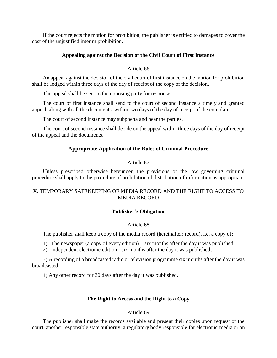If the court rejects the motion for prohibition, the publisher is entitled to damages to cover the cost of the unjustified interim prohibition.

# **Appealing against the Decision of the Civil Court of First Instance**

# Article 66

An appeal against the decision of the civil court of first instance on the motion for prohibition shall be lodged within three days of the day of receipt of the copy of the decision.

The appeal shall be sent to the opposing party for response.

The court of first instance shall send to the court of second instance a timely and granted appeal, along with all the documents, within two days of the day of receipt of the complaint.

The court of second instance may subpoena and hear the parties.

The court of second instance shall decide on the appeal within three days of the day of receipt of the appeal and the documents.

# **Appropriate Application of the Rules of Criminal Procedure**

# Article 67

Unless prescribed otherwise hereunder, the provisions of the law governing criminal procedure shall apply to the procedure of prohibition of distribution of information as appropriate.

# X. TEMPORARY SAFEKEEPING OF MEDIA RECORD AND THE RIGHT TO ACCESS TO MEDIA RECORD

# **Publisher's Obligation**

# Article 68

The publisher shall keep a copy of the media record (hereinafter: record), i.e. a copy of:

1) The newspaper (a copy of every edition) – six months after the day it was published;

2) Independent electronic edition - six months after the day it was published;

3) A recording of a broadcasted radio or television programme six months after the day it was broadcasted;

4) Any other record for 30 days after the day it was published.

# **The Right to Access and the Right to a Copy**

# Article 69

The publisher shall make the records available and present their copies upon request of the court, another responsible state authority, a regulatory body responsible for electronic media or an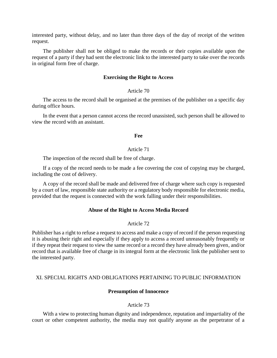interested party, without delay, and no later than three days of the day of receipt of the written request.

The publisher shall not be obliged to make the records or their copies available upon the request of a party if they had sent the electronic link to the interested party to take over the records in original form free of charge.

### **Exercising the Right to Access**

# Article 70

The access to the record shall be organised at the premises of the publisher on a specific day during office hours.

In the event that a person cannot access the record unassisted, such person shall be allowed to view the record with an assistant.

#### **Fee**

#### Article 71

The inspection of the record shall be free of charge.

If a copy of the record needs to be made a fee covering the cost of copying may be charged, including the cost of delivery.

A copy of the record shall be made and delivered free of charge where such copy is requested by a court of law, responsible state authority or a regulatory body responsible for electronic media, provided that the request is connected with the work falling under their responsibilities.

### **Abuse of the Right to Access Media Record**

Article 72

Publisher has a right to refuse a request to access and make a copy of record if the person requesting it is abusing their right and especially if they apply to access a record unreasonably frequently or if they repeat their request to view the same record or a record they have already been given, and/or record that is available free of charge in its integral form at the electronic link the publisher sent to the interested party.

## XI. SPECIAL RIGHTS AND OBLIGATIONS PERTAINING TO PUBLIC INFORMATION

#### **Presumption of Innocence**

#### Article 73

With a view to protecting human dignity and independence, reputation and impartiality of the court or other competent authority, the media may not qualify anyone as the perpetrator of a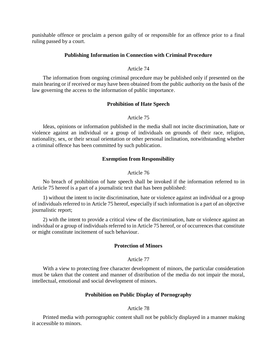punishable offence or proclaim a person guilty of or responsible for an offence prior to a final ruling passed by a court.

## **Publishing Information in Connection with Criminal Procedure**

## Article 74

The information from ongoing criminal procedure may be published only if presented on the main hearing or if received or may have been obtained from the public authority on the basis of the law governing the access to the information of public importance.

## **Prohibition of Hate Speech**

## Article 75

Ideas, opinions or information published in the media shall not incite discrimination, hate or violence against an individual or a group of individuals on grounds of their race, religion, nationality, sex, or their sexual orientation or other personal inclination, notwithstanding whether a criminal offence has been committed by such publication.

# **Exemption from Responsibility**

## Article 76

No breach of prohibition of hate speech shall be invoked if the information referred to in Article 75 hereof is a part of a journalistic text that has been published:

1) without the intent to incite discrimination, hate or violence against an individual or a group of individuals referred to in Article 75 hereof, especially if such information is a part of an objective journalistic report;

2) with the intent to provide a critical view of the discrimination, hate or violence against an individual or a group of individuals referred to in Article 75 hereof, or of occurrences that constitute or might constitute incitement of such behaviour.

### **Protection of Minors**

### Article 77

With a view to protecting free character development of minors, the particular consideration must be taken that the content and manner of distribution of the media do not impair the moral, intellectual, emotional and social development of minors.

# **Prohibition on Public Display of Pornography**

## Article 78

Printed media with pornographic content shall not be publicly displayed in a manner making it accessible to minors.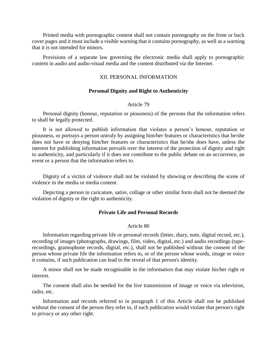Printed media with pornographic content shall not contain pornography on the front or back cover pages and it must include a visible warning that it contains pornography, as well as a warning that it is not intended for minors.

Provisions of a separate law governing the electronic media shall apply to pornographic content in audio and audio-visual media and the content distributed via the Internet.

# XII. PERSONAL INFORMATION

#### **Personal Dignity and Right to Authenticity**

## Article 79

Personal dignity (honour, reputation or piousness) of the persons that the information refers to shall be legally protected.

It is not allowed to publish information that violates a person's honour, reputation or piousness, or portrays a person untruly by assigning him/her features or characteristics that he/she does not have or denying him/her features or characteristics that he/she does have, unless the interest for publishing information prevails over the interest of the protection of dignity and right to authenticity, and particularly if it does not contribute to the public debate on an occurrence, an event or a person that the information refers to.

Dignity of a victim of violence shall not be violated by showing or describing the scene of violence in the media or media content.

Depicting a person in caricature, satire, collage or other similar form shall not be deemed the violation of dignity or the right to authenticity.

## **Private Life and Personal Records**

#### Article 80

Information regarding private life or personal records (letter, diary, note, digital record, etc.), recording of images (photographs, drawings, film, video, digital, etc.) and audio recordings (taperecordings, gramophone records, digital, etc.), shall not be published without the consent of the person whose private life the information refers to, or of the person whose words, image or voice it contains, if such publication can lead to the reveal of that person's identity.

A minor shall not be made recognisable in the information that may violate his/her right or interest.

The consent shall also be needed for the live transmission of image or voice via television, radio, etc.

Information and records referred to in paragraph 1 of this Article shall not be published without the consent of the person they refer to, if such publication would violate that person's right to privacy or any other right.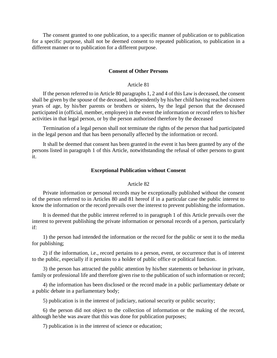The consent granted to one publication, to a specific manner of publication or to publication for a specific purpose, shall not be deemed consent to repeated publication, to publication in a different manner or to publication for a different purpose.

#### **Consent of Other Persons**

# Article 81

If the person referred to in Article 80 paragraphs 1, 2 and 4 of this Law is deceased, the consent shall be given by the spouse of the deceased, independently by his/her child having reached sixteen years of age, by his/her parents or brothers or sisters, by the legal person that the deceased participated in (official, member, employee) in the event the information or record refers to his/her activities in that legal person, or by the person authorised therefore by the deceased

Termination of a legal person shall not terminate the rights of the person that had participated in the legal person and that has been personally affected by the information or record.

It shall be deemed that consent has been granted in the event it has been granted by any of the persons listed in paragraph 1 of this Article, notwithstanding the refusal of other persons to grant it.

#### **Exceptional Publication without Consent**

#### Article 82

Private information or personal records may be exceptionally published without the consent of the person referred to in Articles 80 and 81 hereof if in a particular case the public interest to know the information or the record prevails over the interest to prevent publishing the information.

It is deemed that the public interest referred to in paragraph 1 of this Article prevails over the interest to prevent publishing the private information or personal records of a person, particularly if:

1) the person had intended the information or the record for the public or sent it to the media for publishing;

2) if the information, i.e., record pertains to a person, event, or occurrence that is of interest to the public, especially if it pertains to a holder of public office or political function.

3) the person has attracted the public attention by his/her statements or behaviour in private, family or professional life and therefore given rise to the publication of such information or record;

4) the information has been disclosed or the record made in a public parliamentary debate or a public debate in a parliamentary body;

5) publication is in the interest of judiciary, national security or public security;

6) the person did not object to the collection of information or the making of the record, although he/she was aware that this was done for publication purposes;

7) publication is in the interest of science or education;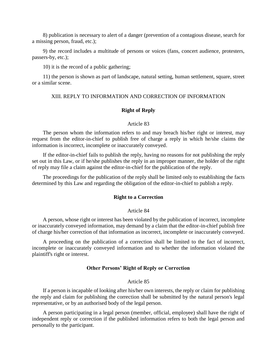8) publication is necessary to alert of a danger (prevention of a contagious disease, search for a missing person, fraud, etc.);

9) the record includes a multitude of persons or voices (fans, concert audience, protesters, passers-by, etc.);

10) it is the record of a public gathering;

11) the person is shown as part of landscape, natural setting, human settlement, square, street or a similar scene.

#### XIII. REPLY TO INFORMATION AND CORRECTION OF INFORMATION

#### **Right of Reply**

#### Article 83

The person whom the information refers to and may breach his/her right or interest, may request from the editor-in-chief to publish free of charge a reply in which he/she claims the information is incorrect, incomplete or inaccurately conveyed.

If the editor-in-chief fails to publish the reply, having no reasons for not publishing the reply set out in this Law, or if he/she publishes the reply in an improper manner, the holder of the right of reply may file a claim against the editor-in-chief for the publication of the reply.

The proceedings for the publication of the reply shall be limited only to establishing the facts determined by this Law and regarding the obligation of the editor-in-chief to publish a reply.

### **Right to a Correction**

#### Article 84

A person, whose right or interest has been violated by the publication of incorrect, incomplete or inaccurately conveyed information, may demand by a claim that the editor-in-chief publish free of charge his/her correction of that information as incorrect, incomplete or inaccurately conveyed.

A proceeding on the publication of a correction shall be limited to the fact of incorrect, incomplete or inaccurately conveyed information and to whether the information violated the plaintiff's right or interest.

#### **Other Persons' Right of Reply or Correction**

#### Article 85

If a person is incapable of looking after his/her own interests, the reply or claim for publishing the reply and claim for publishing the correction shall be submitted by the natural person's legal representative, or by an authorised body of the legal person.

A person participating in a legal person (member, official, employee) shall have the right of independent reply or correction if the published information refers to both the legal person and personally to the participant.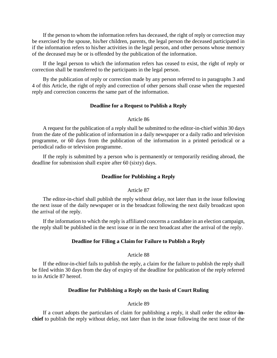If the person to whom the information refers has deceased, the right of reply or correction may be exercised by the spouse, his/her children, parents, the legal person the deceased participated in if the information refers to his/her activities in the legal person, and other persons whose memory of the deceased may be or is offended by the publication of the information.

If the legal person to which the information refers has ceased to exist, the right of reply or correction shall be transferred to the participants in the legal person.

By the publication of reply or correction made by any person referred to in paragraphs 3 and 4 of this Article, the right of reply and correction of other persons shall cease when the requested reply and correction concerns the same part of the information.

### **Deadline for a Request to Publish a Reply**

# Article 86

A request for the publication of a reply shall be submitted to the editor-in-chief within 30 days from the date of the publication of information in a daily newspaper or a daily radio and television programme, or 60 days from the publication of the information in a printed periodical or a periodical radio or television programme.

If the reply is submitted by a person who is permanently or temporarily residing abroad, the deadline for submission shall expire after 60 (sixty) days.

## **Deadline for Publishing a Reply**

#### Article 87

The editor**-**in-chief shall publish the reply without delay, not later than in the issue following the next issue of the daily newspaper or in the broadcast following the next daily broadcast upon the arrival of the reply.

If the information to which the reply is affiliated concerns a candidate in an election campaign, the reply shall be published in the next issue or in the next broadcast after the arrival of the reply.

## **Deadline for Filing a Claim for Failure to Publish a Reply**

### Article 88

If the editor-in-chief fails to publish the reply, a claim for the failure to publish the reply shall be filed within 30 days from the day of expiry of the deadline for publication of the reply referred to in Article 87 hereof.

### **Deadline for Publishing a Reply on the basis of Court Ruling**

## Article 89

If a court adopts the particulars of claim for publishing a reply, it shall order the editor-**inchief** to publish the reply without delay, not later than in the issue following the next issue of the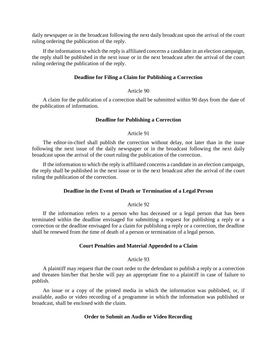daily newspaper or in the broadcast following the next daily broadcast upon the arrival of the court ruling ordering the publication of the reply.

If the information to which the reply is affiliated concerns a candidate in an election campaign, the reply shall be published in the next issue or in the next broadcast after the arrival of the court ruling ordering the publication of the reply.

## **Deadline for Filing a Claim for Publishing a Correction**

#### Article 90

A claim for the publication of a correction shall be submitted within 90 days from the date of the publication of information.

#### **Deadline for Publishing a Correction**

#### Article 91

The editor-in-chief shall publish the correction without delay, not later than in the issue following the next issue of the daily newspaper or in the broadcast following the next daily broadcast upon the arrival of the court ruling the publication of the correction.

If the information to which the reply is affiliated concerns a candidate in an election campaign, the reply shall be published in the next issue or in the next broadcast after the arrival of the court ruling the publication of the correction.

#### **Deadline in the Event of Death or Termination of a Legal Person**

#### Article 92

If the information refers to a person who has deceased or a legal person that has been terminated within the deadline envisaged for submitting a request for publishing a reply or a correction or the deadline envisaged for a claim for publishing a reply or a correction, the deadline shall be renewed from the time of death of a person or termination of a legal person.

#### **Court Penalties and Material Appended to a Claim**

## Article 93

A plaintiff may request that the court order to the defendant to publish a reply or a correction and threaten him/her that he/she will pay an appropriate fine to a plaintiff in case of failure to publish.

An issue or a copy of the printed media in which the information was published, or, if available, audio or video recording of a programme in which the information was published or broadcast, shall be enclosed with the claim.

## **Order to Submit an Audio or Video Recording**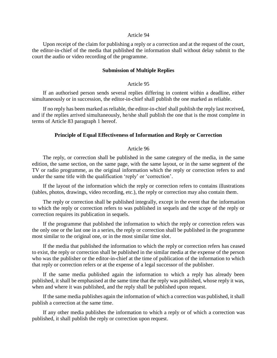#### Article 94

Upon receipt of the claim for publishing a reply or a correction and at the request of the court, the editor-in-chief of the media that published the information shall without delay submit to the court the audio or video recording of the programme.

#### **Submission of Multiple Replies**

#### Article 95

If an authorised person sends several replies differing in content within a deadline, either simultaneously or in succession, the editor-in-chief shall publish the one marked as reliable.

If no reply has been marked as reliable, the editor-in-chief shall publish the reply last received, and if the replies arrived simultaneously, he/she shall publish the one that is the most complete in terms of Article 83 paragraph 1 hereof.

#### **Principle of Equal Effectiveness of Information and Reply or Correction**

#### Article 96

The reply, or correction shall be published in the same category of the media, in the same edition, the same section, on the same page, with the same layout, or in the same segment of the TV or radio programme, as the original information which the reply or correction refers to and under the same title with the qualification 'reply' or 'correction'.

If the layout of the information which the reply or correction refers to contains illustrations (tables, photos, drawings, video recording, etc.), the reply or correction may also contain them.

The reply or correction shall be published integrally, except in the event that the information to which the reply or correction refers to was published in sequels and the scope of the reply or correction requires its publication in sequels.

If the programme that published the information to which the reply or correction refers was the only one or the last one in a series, the reply or correction shall be published in the programme most similar to the original one, or in the most similar time slot.

If the media that published the information to which the reply or correction refers has ceased to exist, the reply or correction shall be published in the similar media at the expense of the person who was the publisher or the editor-in-chief at the time of publication of the information to which that reply or correction refers or at the expense of a legal successor of the publisher.

If the same media published again the information to which a reply has already been published, it shall be emphasised at the same time that the reply was published, whose reply it was, when and where it was published, and the reply shall be published upon request.

If the same media publishes again the information of which a correction was published, it shall publish a correction at the same time.

If any other media publishes the information to which a reply or of which a correction was published, it shall publish the reply or correction upon request.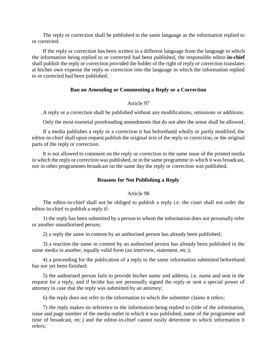The reply or correction shall be published in the same language as the information replied to or corrected.

If the reply or correction has been written in a different language from the language in which the information being replied to or corrected had been published, the responsible editor-**in-chief** shall publish the reply or correction provided the holder of the right of reply or correction translates at his/her own expense the reply or correction into the language in which the information replied to or corrected had been published.

## **Ban on Amending or Commenting a Reply or a Correction**

## Article 97

A reply or a correction shall be published without any modifications, omissions or additions.

Only the most essential proofreading amendments that do not alter the sense shall be allowed.

If a media publishes a reply or a correction it has beforehand wholly or partly modified, the editor-in-chief shall upon request publish the original text of the reply or correction, or the original parts of the reply or correction.

It is not allowed to comment on the reply or correction in the same issue of the printed media in which the reply or correction was published, or in the same programme in which it was broadcast, nor in other programmes broadcast on the same day the reply or correction was published.

# **Reasons for Not Publishing a Reply**

### Article 98

The editor-in-chief shall not be obliged to publish a reply i.e. the court shall not order the editor-in-chief to publish a reply if:

1) the reply has been submitted by a person to whom the information does not personally refer or another unauthorised person;

2) a reply the same in content by an authorised person has already been published;

3) a reaction the same in content by an authorised person has already been published in the same media in another, equally valid form (an interview, statement, etc.);

4) a proceeding for the publication of a reply to the same information submitted beforehand has not yet been finished;

5) the authorised person fails to provide his/her name and address, i.e. name and seat in the request for a reply, and if he/she has not personally signed the reply or sent a special power of attorney in case that the reply was submitted by an attorney;

6) the reply does not refer to the information to which the submitter claims it refers;

7) the reply makes no reference to the information being replied to (title of the information, issue and page number of the media outlet in which it was published, name of the programme and time of broadcast, etc.) and the editor-in-chief cannot easily determine to which information it refers;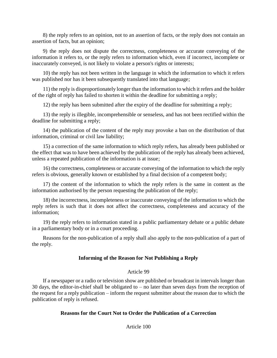8) the reply refers to an opinion, not to an assertion of facts, or the reply does not contain an assertion of facts, but an opinion;

9) the reply does not dispute the correctness, completeness or accurate conveying of the information it refers to, or the reply refers to information which, even if incorrect, incomplete or inaccurately conveyed, is not likely to violate a person's rights or interests;

10) the reply has not been written in the language in which the information to which it refers was published nor has it been subsequently translated into that language;

11) the reply is disproportionately longer than the information to which it refers and the holder of the right of reply has failed to shorten it within the deadline for submitting a reply;

12) the reply has been submitted after the expiry of the deadline for submitting a reply;

13) the reply is illegible, incomprehensible or senseless, and has not been rectified within the deadline for submitting a reply;

14) the publication of the content of the reply may provoke a ban on the distribution of that information, criminal or civil law liability;

15) a correction of the same information to which reply refers, has already been published or the effect that was to have been achieved by the publication of the reply has already been achieved, unless a repeated publication of the information is at issue;

16) the correctness, completeness or accurate conveying of the information to which the reply refers is obvious, generally known or established by a final decision of a competent body;

17) the content of the information to which the reply refers is the same in content as the information authorised by the person requesting the publication of the reply;

18) the incorrectness, incompleteness or inaccurate conveying of the information to which the reply refers is such that it does not affect the correctness, completeness and accuracy of the information;

19) the reply refers to information stated in a public parliamentary debate or a public debate in a parliamentary body or in a court proceeding.

Reasons for the non-publication of a reply shall also apply to the non-publication of a part of the reply.

# **Informing of the Reason for Not Publishing a Reply**

### Article 99

If a newspaper or a radio or television show are published or broadcast in intervals longer than 30 days, the editor-in-chief shall be obligated to  $-$  no later than seven days from the reception of the request for a reply publication – inform the request submitter about the reason due to which the publication of reply is refused.

# **Reasons for the Court Not to Order the Publication of a Correction**

Article 100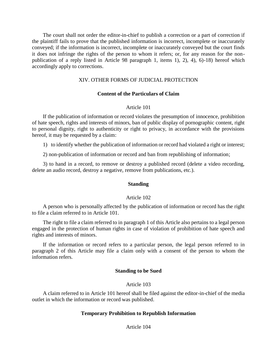The court shall not order the editor-in-chief to publish a correction or a part of correction if the plaintiff fails to prove that the published information is incorrect, incomplete or inaccurately conveyed; if the information is incorrect, incomplete or inaccurately conveyed but the court finds it does not infringe the rights of the person to whom it refers; or, for any reason for the nonpublication of a reply listed in Article 98 paragraph 1, items 1), 2), 4), 6)-18) hereof which accordingly apply to corrections.

### XIV. OTHER FORMS OF JUDICIAL PROTECTION

### **Content of the Particulars of Claim**

### Article 101

If the publication of information or record violates the presumption of innocence, prohibition of hate speech, rights and interests of minors, ban of public display of pornographic content, right to personal dignity, right to authenticity or right to privacy, in accordance with the provisions hereof, it may be requested by a claim:

1) to identify whether the publication of information or record had violated a right or interest;

2) non-publication of information or record and ban from republishing of information;

3) to hand in a record, to remove or destroy a published record (delete a video recording, delete an audio record, destroy a negative, remove from publications, etc.).

## **Standing**

### Article 102

A person who is personally affected by the publication of information or record has the right to file a claim referred to in Article 101.

The right to file a claim referred to in paragraph 1 of this Article also pertains to a legal person engaged in the protection of human rights in case of violation of prohibition of hate speech and rights and interests of minors.

If the information or record refers to a particular person, the legal person referred to in paragraph 2 of this Article may file a claim only with a consent of the person to whom the information refers.

### **Standing to be Sued**

### Article 103

A claim referred to in Article 101 hereof shall be filed against the editor-in-chief of the media outlet in which the information or record was published.

### **Temporary Prohibition to Republish Information**

Article 104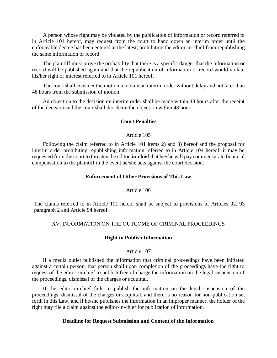A person whose right may be violated by the publication of information or record referred to in Article 101 hereof, may request from the court to hand down an interim order until the enforceable decree has been entered at the latest, prohibiting the editor-in-chief from republishing the same information or record.

The plaintiff must prove the probability that there is a specific danger that the information or record will be published again and that the republication of information or record would violate his/her right or interest referred to in Article 101 hereof.

The court shall consider the motion to obtain an interim order without delay and not later than 48 hours from the submission of motion.

An objection to the decision on interim order shall be made within 48 hours after the receipt of the decision and the court shall decide on the objection within 48 hours.

### **Court Penalties**

### Article 105

Following the claim referred to in Article 101 items 2) and 3) hereof and the proposal for interim order prohibiting republishing information referred to in Article 104 hereof, it may be requested from the court to threaten the editor-**in-chief** that he/she will pay commensurate financial compensation to the plaintiff in the event he/she acts against the court decision.

### **Enforcement of Other Provisions of This Law**

#### Article 106

The claims referred to in Article 101 hereof shall be subject to provisions of Articles 92, 93 paragraph 2 and Article 94 hereof.

## XV. INFORMATION ON THE OUTCOME OF CRIMINAL PROCEEDINGS

### **Right to Publish Information**

## Article 107

If a media outlet published the information that criminal proceedings have been initiated against a certain person, that person shall upon completion of the proceedings have the right to request of the editor-in-chief to publish free of charge the information on the legal suspension of the proceedings, dismissal of the charges or acquittal.

If the editor-in-chief fails to publish the information on the legal suspension of the proceedings, dismissal of the charges or acquittal, and there is no reason for non-publication set forth in this Law, and if he/she publishes the information in an improper manner, the holder of the right may file a claim against the editor-in-chief for publication of information.

### **Deadline for Request Submission and Content of the Information**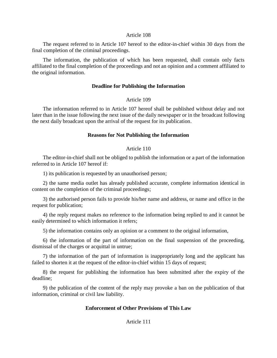#### Article 108

The request referred to in Article 107 hereof to the editor-in-chief within 30 days from the final completion of the criminal proceedings.

The information, the publication of which has been requested, shall contain only facts affiliated to the final completion of the proceedings and not an opinion and a comment affiliated to the original information.

## **Deadline for Publishing the Information**

## Article 109

The information referred to in Article 107 hereof shall be published without delay and not later than in the issue following the next issue of the daily newspaper or in the broadcast following the next daily broadcast upon the arrival of the request for its publication.

### **Reasons for Not Publishing the Information**

## Article 110

The editor-in-chief shall not be obliged to publish the information or a part of the information referred to in Article 107 hereof if:

1) its publication is requested by an unauthorised person;

2) the same media outlet has already published accurate, complete information identical in content on the completion of the criminal proceedings;

3) the authorised person fails to provide his/her name and address, or name and office in the request for publication;

4) the reply request makes no reference to the information being replied to and it cannot be easily determined to which information it refers;

5) the information contains only an opinion or a comment to the original information,

6) the information of the part of information on the final suspension of the proceeding, dismissal of the charges or acquittal in untrue;

7) the information of the part of information is inappropriately long and the applicant has failed to shorten it at the request of the editor-in-chief within 15 days of request;

8) the request for publishing the information has been submitted after the expiry of the deadline;

9) the publication of the content of the reply may provoke a ban on the publication of that information, criminal or civil law liability.

# **Enforcement of Other Provisions of This Law**

# Article 111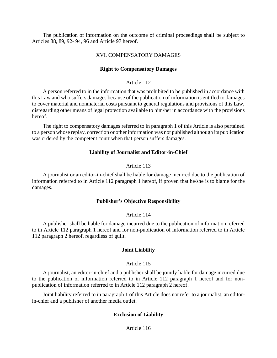The publication of information on the outcome of criminal proceedings shall be subject to Articles 88, 89, 92- 94, 96 and Article 97 hereof.

## XVI. COMPENSATORY DAMAGES

## **Right to Compensatory Damages**

### Article 112

A person referred to in the information that was prohibited to be published in accordance with this Law and who suffers damages because of the publication of information is entitled to damages to cover material and nonmaterial costs pursuant to general regulations and provisions of this Law, disregarding other means of legal protection available to him/her in accordance with the provisions hereof.

The right to compensatory damages referred to in paragraph 1 of this Article is also pertained to a person whose replay, correction or other information was not published although its publication was ordered by the competent court when that person suffers damages.

## **Liability of Journalist and Editor-in-Chief**

## Article 113

A journalist or an editor-in-chief shall be liable for damage incurred due to the publication of information referred to in Article 112 paragraph 1 hereof, if proven that he/she is to blame for the damages.

# **Publisher's Objective Responsibility**

### Article 114

A publisher shall be liable for damage incurred due to the publication of information referred to in Article 112 paragraph 1 hereof and for non-publication of information referred to in Article 112 paragraph 2 hereof, regardless of guilt.

### **Joint Liability**

### Article 115

A journalist, an editor-in-chief and a publisher shall be jointly liable for damage incurred due to the publication of information referred to in Article 112 paragraph 1 hereof and for nonpublication of information referred to in Article 112 paragraph 2 hereof.

Joint liability referred to in paragraph 1 of this Article does not refer to a journalist, an editorin-chief and a publisher of another media outlet.

# **Exclusion of Liability**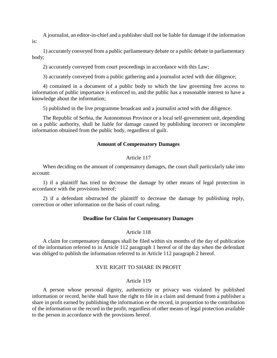A journalist, an editor-in-chief and a publisher shall not be liable for damage if the information is:

1) accurately conveyed from a public parliamentary debate or a public debate in parliamentary body;

2) accurately conveyed from court proceedings in accordance with this Law;

3) accurately conveyed from a public gathering and a journalist acted with due diligence;

4) contained in a document of a public body to which the law governing free access to information of public importance is enforced to, and the public has a reasonable interest to have a knowledge about the information;

5) published in the live programme broadcast and a journalist acted with due diligence.

The Republic of Serbia, the Autonomous Province or a local self-government unit, depending on a public authority, shall be liable for damage caused by publishing incorrect or incomplete information obtained from the public body, regardless of guilt.

#### **Amount of Compensatory Damages**

### Article 117

When deciding on the amount of compensatory damages, the court shall particularly take into account:

1) if a plaintiff has tried to decrease the damage by other means of legal protection in accordance with the provisions hereof;

2) if a defendant obstructed the plaintiff to decrease the damage by publishing reply, correction or other information on the basis of court ruling.

#### **Deadline for Claim for Compensatory Damages**

#### Article 118

A claim for compensatory damages shall be filed within six months of the day of publication of the information referred to in Article 112 paragraph 1 hereof or of the day when the defendant was obliged to publish the information referred to in Article 112 paragraph 2 hereof.

## XVII. RIGHT TO SHARE IN PROFIT

### Article 119

A person whose personal dignity, authenticity or privacy was violated by published information or record, he/she shall have the right to file in a claim and demand from a publisher a share in profit earned by publishing the information or the record, in proportion to the contribution of the information or the record in the profit, regardless of other means of legal protection available to the person in accordance with the provisions hereof.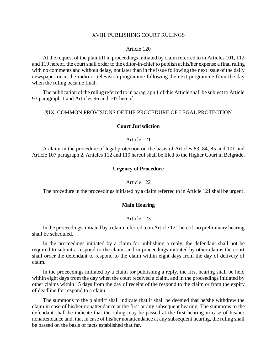#### XVIII. PUBLISHING COURT RULINGS

#### Article 120

At the request of the plaintiff in proceedings initiated by claim referred to in Articles 101, 112 and 119 hereof, the court shall order to the editor-in-chief to publish at his/her expense a final ruling with no comments and without delay, not later than in the issue following the next issue of the daily newspaper or in the radio or television programme following the next programme from the day when the ruling became final.

The publication of the ruling referred to in paragraph 1 of this Article shall be subject to Article 93 paragraph 1 and Articles 96 and 107 hereof.

#### XIX. COMMON PROVISIONS OF THE PROCEDURE OF LEGAL PROTECTION

#### **Court Jurisdiction**

#### Article 121

A claim in the procedure of legal protection on the basis of Articles 83, 84, 85 and 101 and Article 107 paragraph 2, Articles 112 and 119 hereof shall be filed to the Higher Court in Belgrade**.**

### **Urgency of Procedure**

## Article 122

The procedure in the proceedings initiated by a claim referred to in Article 121 shall be urgent.

## **Main Hearing**

#### Article 123

In the proceedings initiated by a claim referred to in Article 121 hereof, no preliminary hearing shall be scheduled.

In the proceedings initiated by a claim for publishing a reply, the defendant shall not be required to submit a respond to the claim, and in proceedings initiated by other claims the court shall order the defendant to respond to the claim within eight days from the day of delivery of claim.

In the proceedings initiated by a claim for publishing a reply, the first hearing shall be held within eight days from the day when the court received a claim, and in the proceedings initiated by other claims within 15 days from the day of receipt of the respond to the claim or from the expiry of deadline for respond to a claim.

The summons to the plaintiff shall indicate that it shall be deemed that he/she withdrew the claim in case of his/her nonattendance at the first or any subsequent hearing. The summons to the defendant shall be indicate that the ruling may be passed at the first hearing in case of his/her nonattendance and, that in case of his/her nonattendance at any subsequent hearing, the ruling shall be passed on the basis of facts established that far.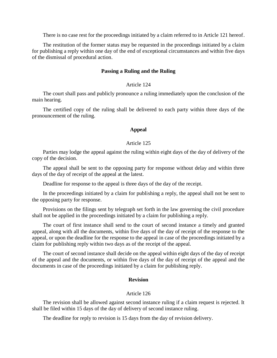There is no case rest for the proceedings initiated by a claim referred to in Article 121 hereof.

The restitution of the former status may be requested in the proceedings initiated by a claim for publishing a reply within one day of the end of exceptional circumstances and within five days of the dismissal of procedural action.

#### **Passing a Ruling and the Ruling**

## Article 124

The court shall pass and publicly pronounce a ruling immediately upon the conclusion of the main hearing.

The certified copy of the ruling shall be delivered to each party within three days of the pronouncement of the ruling.

#### **Appeal**

#### Article 125

Parties may lodge the appeal against the ruling within eight days of the day of delivery of the copy of the decision.

The appeal shall be sent to the opposing party for response without delay and within three days of the day of receipt of the appeal at the latest.

Deadline for response to the appeal is three days of the day of the receipt.

In the proceedings initiated by a claim for publishing a reply, the appeal shall not be sent to the opposing party for response.

Provisions on the filings sent by telegraph set forth in the law governing the civil procedure shall not be applied in the proceedings initiated by a claim for publishing a reply.

The court of first instance shall send to the court of second instance a timely and granted appeal, along with all the documents, within five days of the day of receipt of the response to the appeal, or upon the deadline for the response to the appeal in case of the proceedings initiated by a claim for publishing reply within two days as of the receipt of the appeal.

The court of second instance shall decide on the appeal within eight days of the day of receipt of the appeal and the documents, or within five days of the day of receipt of the appeal and the documents in case of the proceedings initiated by a claim for publishing reply.

#### **Revision**

# Article 126

The revision shall be allowed against second instance ruling if a claim request is rejected. It shall be filed within 15 days of the day of delivery of second instance ruling.

The deadline for reply to revision is 15 days from the day of revision delivery.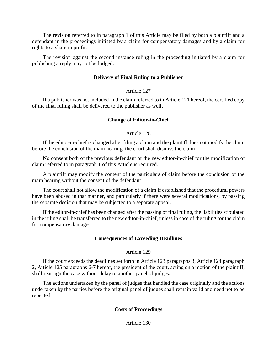The revision referred to in paragraph 1 of this Article may be filed by both a plaintiff and a defendant in the proceedings initiated by a claim for compensatory damages and by a claim for rights to a share in profit.

The revision against the second instance ruling in the proceeding initiated by a claim for publishing a reply may not be lodged.

# **Delivery of Final Ruling to a Publisher**

# Article 127

If a publisher was not included in the claim referred to in Article 121 hereof, the certified copy of the final ruling shall be delivered to the publisher as well.

# **Change of Editor-in-Chief**

# Article 128

If the editor-in-chief is changed after filing a claim and the plaintiff does not modify the claim before the conclusion of the main hearing, the court shall dismiss the claim.

No consent both of the previous defendant or the new editor-in-chief for the modification of claim referred to in paragraph 1 of this Article is required.

A plaintiff may modify the content of the particulars of claim before the conclusion of the main hearing without the consent of the defendant.

The court shall not allow the modification of a claim if established that the procedural powers have been abused in that manner, and particularly if there were several modifications, by passing the separate decision that may be subjected to a separate appeal.

If the editor-in-chief has been changed after the passing of final ruling, the liabilities stipulated in the ruling shall be transferred to the new editor-in-chief, unless in case of the ruling for the claim for compensatory damages.

# **Consequences of Exceeding Deadlines**

# Article 129

If the court exceeds the deadlines set forth in Article 123 paragraphs 3, Article 124 paragraph 2, Article 125 paragraphs 6-7 hereof, the president of the court, acting on a motion of the plaintiff, shall reassign the case without delay to another panel of judges.

The actions undertaken by the panel of judges that handled the case originally and the actions undertaken by the parties before the original panel of judges shall remain valid and need not to be repeated.

# **Costs of Proceedings**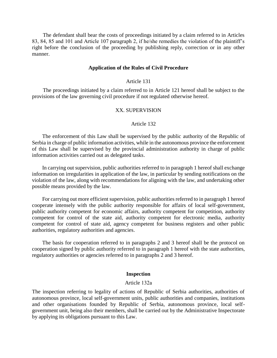The defendant shall bear the costs of proceedings initiated by a claim referred to in Articles 83, 84, 85 and 101 and Article 107 paragraph 2, if he/she remedies the violation of the plaintiff's right before the conclusion of the proceeding by publishing reply, correction or in any other manner.

#### **Application of the Rules of Civil Procedure**

#### Article 131

The proceedings initiated by a claim referred to in Article 121 hereof shall be subject to the provisions of the law governing civil procedure if not regulated otherwise hereof.

#### XX. SUPERVISION

#### Article 132

The enforcement of this Law shall be supervised by the public authority of the Republic of Serbia in charge of public information activities, while in the autonomous province the enforcement of this Law shall be supervised by the provincial administration authority in charge of public information activities carried out as delegated tasks.

In carrying out supervision, public authorities referred to in paragraph 1 hereof shall exchange information on irregularities in application of the law, in particular by sending notifications on the violation of the law, along with recommendations for aligning with the law, and undertaking other possible means provided by the law.

For carrying out more efficient supervision, public authorities referred to in paragraph 1 hereof cooperate intensely with the public authority responsible for affairs of local self-government, public authority competent for economic affairs, authority competent for competition, authority competent for control of the state aid, authority competent for electronic media, authority competent for control of state aid, agency competent for business registers and other public authorities, regulatory authorities and agencies.

The basis for cooperation referred to in paragraphs 2 and 3 hereof shall be the protocol on cooperation signed by public authority referred to in paragraph 1 hereof with the state authorities, regulatory authorities or agencies referred to in paragraphs 2 and 3 hereof.

#### **Inspection**

#### Article 132а

The inspection referring to legality of actions of Republic of Serbia authorities, authorities of autonomous province, local self-government units, public authorities and companies, institutions and other organisations founded by Republic of Serbia, autonomous province, local selfgovernment unit, being also their members, shall be carried out by the Administrative Inspectorate by applying its obligations pursuant to this Law.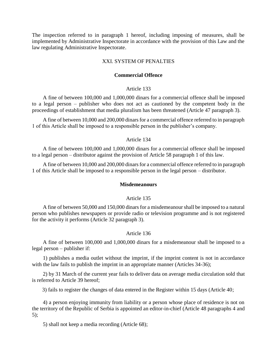The inspection referred to in paragraph 1 hereof, including imposing of measures, shall be implemented by Administrative Inspectorate in accordance with the provision of this Law and the law regulating Administrative Inspectorate.

# XXI. SYSTEM OF PENALTIES

## **Commercial Offence**

### Article 133

A fine of between 100,000 and 1,000,000 dinars for a commercial offence shall be imposed to a legal person – publisher who does not act as cautioned by the competent body in the proceedings of establishment that media pluralism has been threatened (Article 47 paragraph 3).

A fine of between 10,000 and 200,000 dinars for a commercial offence referred to in paragraph 1 of this Article shall be imposed to a responsible person in the publisher's company.

### Article 134

A fine of between 100,000 and 1,000,000 dinars for a commercial offence shall be imposed to a legal person – distributor against the provision of Article 58 paragraph 1 of this law.

A fine of between 10,000 and 200,000 dinars for a commercial offence referred to in paragraph 1 of this Article shall be imposed to a responsible person in the legal person – distributor.

### **Misdemeanours**

### Article 135

A fine of between 50,000 and 150,000 dinars for a misdemeanour shall be imposed to a natural person who publishes newspapers or provide radio or television programme and is not registered for the activity it performs (Article 32 paragraph 3).

### Article 136

A fine of between 100,000 and 1,000,000 dinars for a misdemeanour shall be imposed to a legal person – publisher if:

1) publishes a media outlet without the imprint, if the imprint content is not in accordance with the law fails to publish the imprint in an appropriate manner (Articles 34-36);

2) by 31 March of the current year fails to deliver data on average media circulation sold that is referred to Article 39 hereof;

3) fails to register the changes of data entered in the Register within 15 days (Article 40;

4) a person enjoying immunity from liability or a person whose place of residence is not on the territory of the Republic of Serbia is appointed an editor-in-chief (Article 48 paragraphs 4 and 5);

5) shall not keep a media recording (Article 68);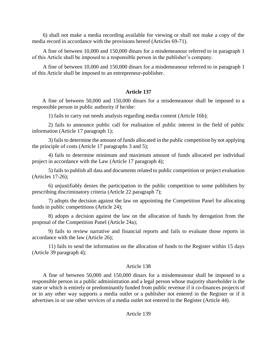6) shall not make a media recording available for viewing or shall not make a copy of the media record in accordance with the provisions hereof (Articles 69-71).

A fine of between 10,000 and 150,000 dinars for a misdemeanour referred to in paragraph 1 of this Article shall be imposed to a responsible person in the publisher's company.

A fine of between 10,000 and 150,000 dinars for a misdemeanour referred to in paragraph 1 of this Article shall be imposed to an entrepreneur-publisher.

# **Article 137**

A fine of between 50,000 and 150,000 dinars for a misdemeanour shall be imposed to a responsible person in public authority if he/she:

1) fails to carry out needs analysis regarding media content (Article 16b);

2) fails to announce public call for realisation of public interest in the field of public information (Article 17 paragraph 1);

3) fails to determine the amount of funds allocated in the public competition by not applying the principle of costs (Article 17 paragraphs 3 and 5);

4) fails to determine minimum and maximum amount of funds allocated per individual project in accordance with the Law (Article 17 paragraph 4);

5) fails to publish all data and documents related to public competition or project evaluation (Articles 17-26);

6) unjustifiably denies the participation in the public competition to some publishers by prescribing discriminatory criteria (Article 22 paragraph 7);

7) adopts the decision against the law on appointing the Competition Panel for allocating funds in public competitions (Article 24);

8) adopts a decision against the law on the allocation of funds by derogation from the proposal of the Competition Panel (Article 24а);

9) fails to review narrative and financial reports and fails to evaluate those reports in accordance with the law (Article 26);

11) fails to send the information on the allocation of funds to the Register within 15 days (Article 39 paragraph 4);

# Article 138

A fine of between 50,000 and 150,000 dinars for a misdemeanour shall be imposed to a responsible person in a public administration and a legal person whose majority shareholder is the state or which is entirely or predominantly funded from public revenue if it co-finances projects of or in any other way supports a media outlet or a publisher not entered in the Register or if it advertises in or use other services of a media outlet not entered in the Register (Article 44).